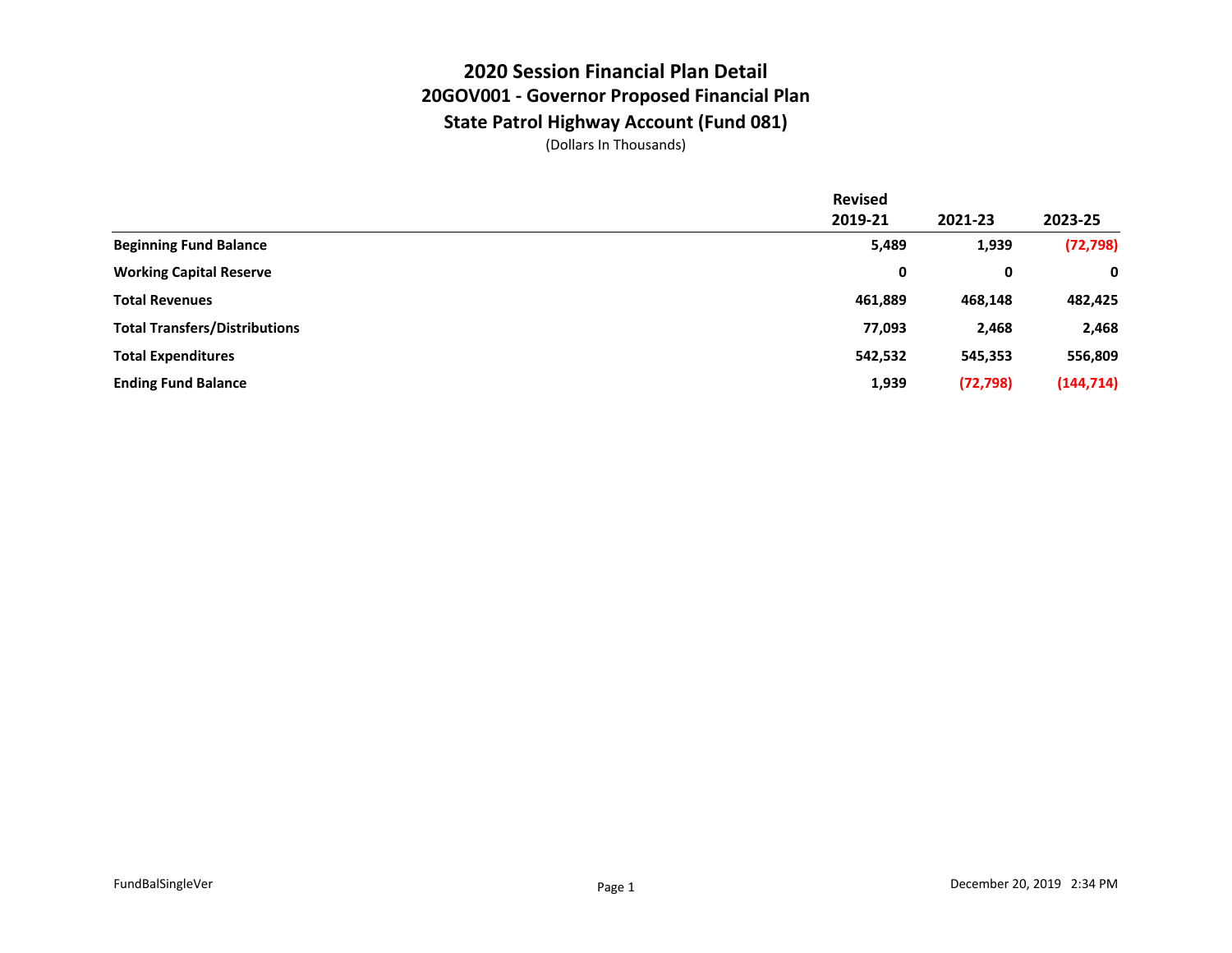## **2020 Session Financial Plan Detail 20GOV001 - Governor Proposed Financial Plan State Patrol Highway Account (Fund 081)**

|                                      | <b>Revised</b> |           |            |
|--------------------------------------|----------------|-----------|------------|
|                                      | 2019-21        | 2021-23   | 2023-25    |
| <b>Beginning Fund Balance</b>        | 5,489          | 1,939     | (72, 798)  |
| <b>Working Capital Reserve</b>       | 0              | 0         | 0          |
| <b>Total Revenues</b>                | 461,889        | 468,148   | 482,425    |
| <b>Total Transfers/Distributions</b> | 77,093         | 2,468     | 2,468      |
| <b>Total Expenditures</b>            | 542,532        | 545,353   | 556,809    |
| <b>Ending Fund Balance</b>           | 1,939          | (72, 798) | (144, 714) |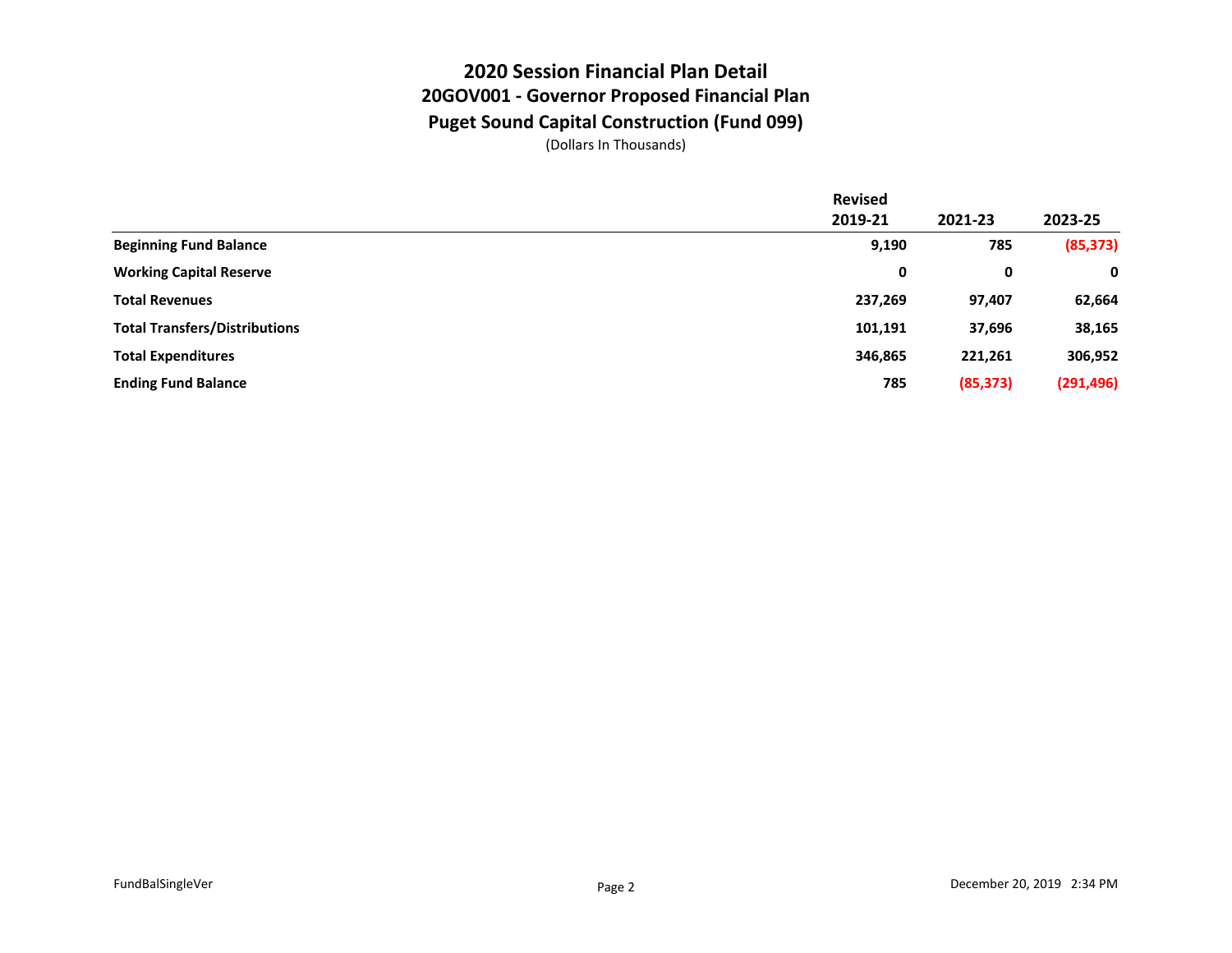### **2020 Session Financial Plan Detail 20GOV001 - Governor Proposed Financial Plan Puget Sound Capital Construction (Fund 099)**

|                                      | <b>Revised</b> |           |            |
|--------------------------------------|----------------|-----------|------------|
|                                      | 2019-21        | 2021-23   | 2023-25    |
| <b>Beginning Fund Balance</b>        | 9,190          | 785       | (85, 373)  |
| <b>Working Capital Reserve</b>       | 0              | 0         | 0          |
| <b>Total Revenues</b>                | 237,269        | 97,407    | 62,664     |
| <b>Total Transfers/Distributions</b> | 101,191        | 37,696    | 38,165     |
| <b>Total Expenditures</b>            | 346,865        | 221,261   | 306,952    |
| <b>Ending Fund Balance</b>           | 785            | (85, 373) | (291, 496) |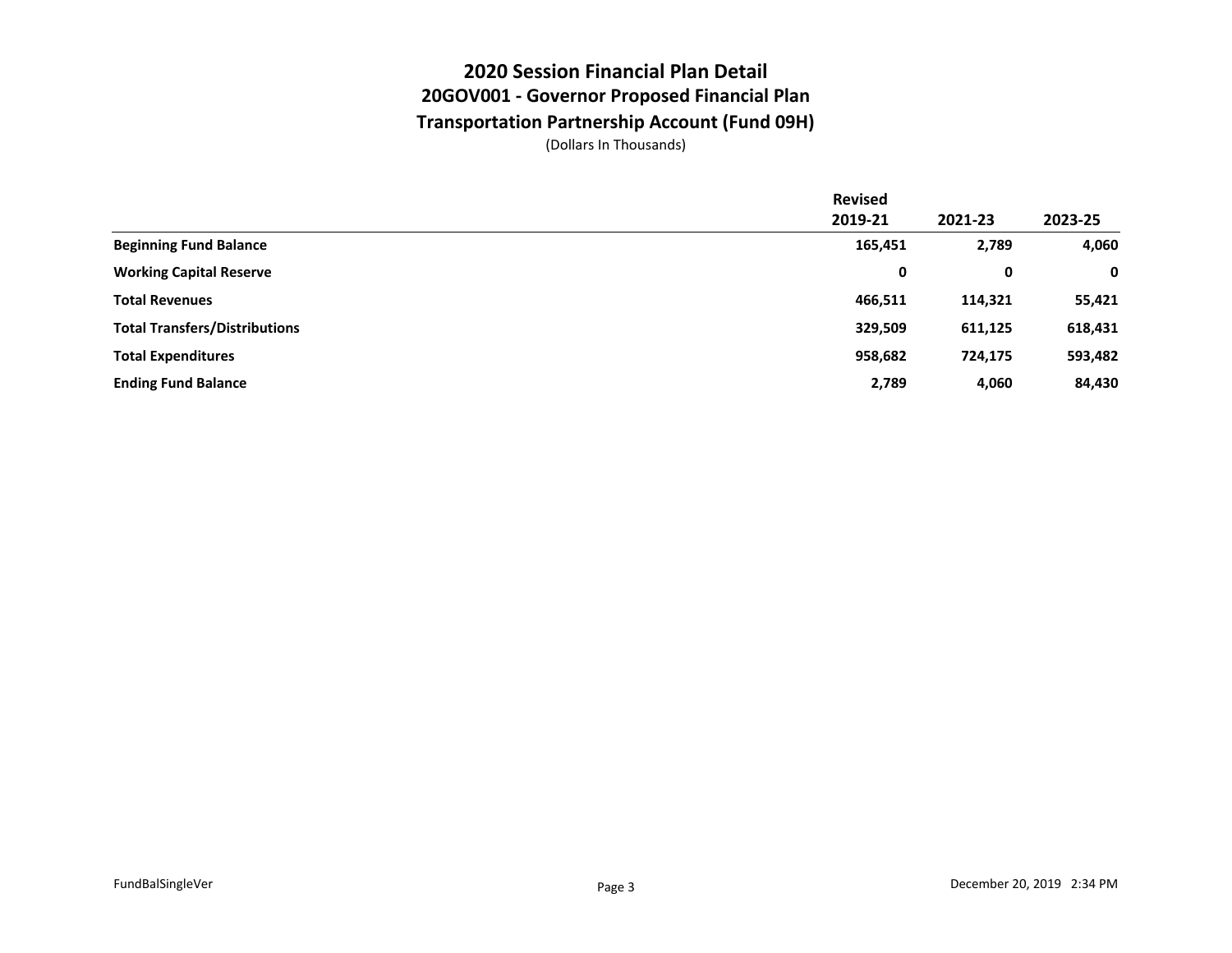## **2020 Session Financial Plan Detail 20GOV001 - Governor Proposed Financial Plan Transportation Partnership Account (Fund 09H)**

|                                      | <b>Revised</b> |         |         |
|--------------------------------------|----------------|---------|---------|
|                                      | 2019-21        | 2021-23 | 2023-25 |
| <b>Beginning Fund Balance</b>        | 165,451        | 2,789   | 4,060   |
| <b>Working Capital Reserve</b>       | 0              | 0       | 0       |
| <b>Total Revenues</b>                | 466,511        | 114,321 | 55,421  |
| <b>Total Transfers/Distributions</b> | 329,509        | 611,125 | 618,431 |
| <b>Total Expenditures</b>            | 958,682        | 724,175 | 593,482 |
| <b>Ending Fund Balance</b>           | 2,789          | 4,060   | 84,430  |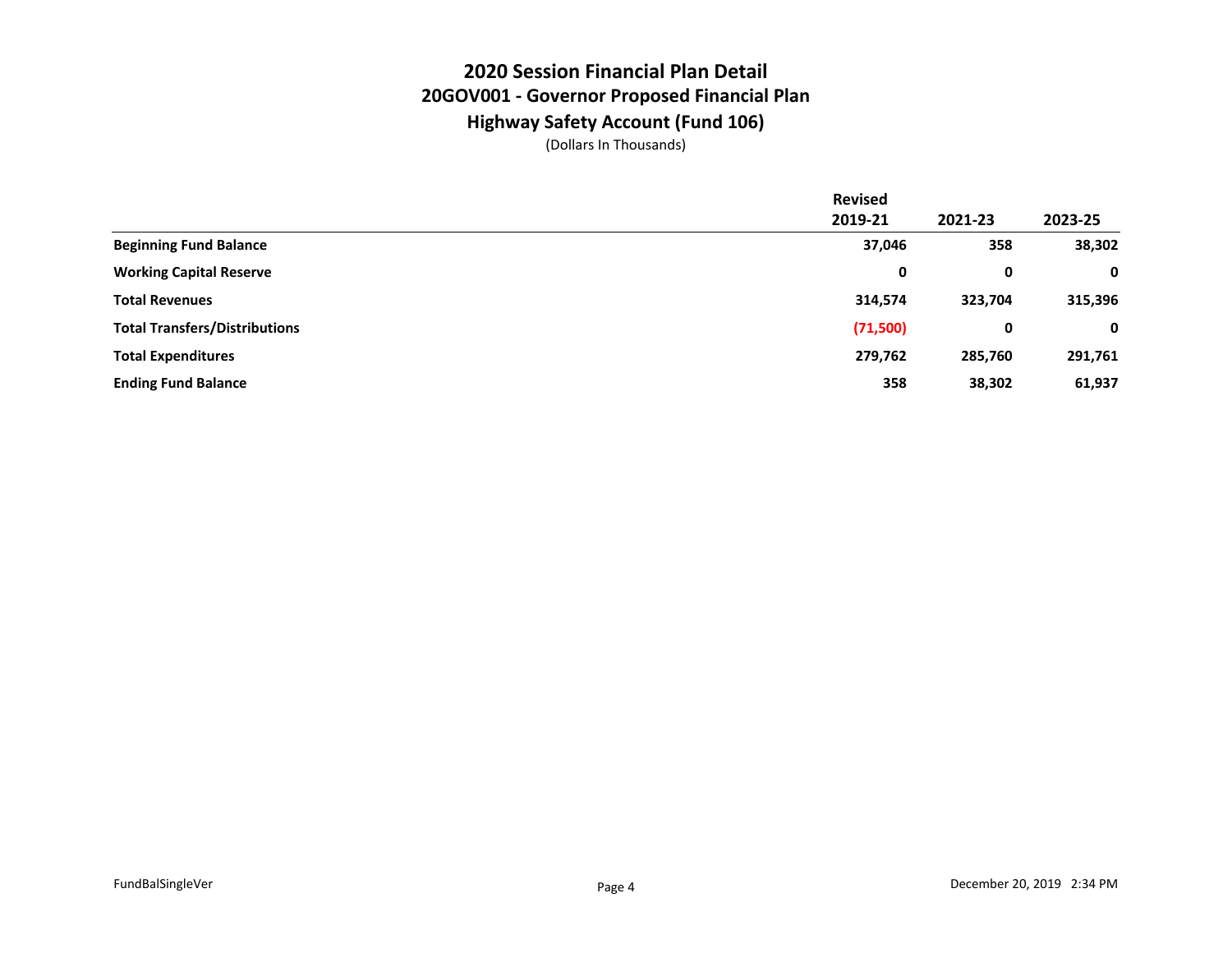## **2020 Session Financial Plan Detail 20GOV001 - Governor Proposed Financial Plan Highway Safety Account (Fund 106)**

|                                      | <b>Revised</b> |         |         |
|--------------------------------------|----------------|---------|---------|
|                                      | 2019-21        | 2021-23 | 2023-25 |
| <b>Beginning Fund Balance</b>        | 37,046         | 358     | 38,302  |
| <b>Working Capital Reserve</b>       | 0              | 0       | 0       |
| <b>Total Revenues</b>                | 314,574        | 323,704 | 315,396 |
| <b>Total Transfers/Distributions</b> | (71,500)       | 0       | 0       |
| <b>Total Expenditures</b>            | 279,762        | 285,760 | 291,761 |
| <b>Ending Fund Balance</b>           | 358            | 38,302  | 61,937  |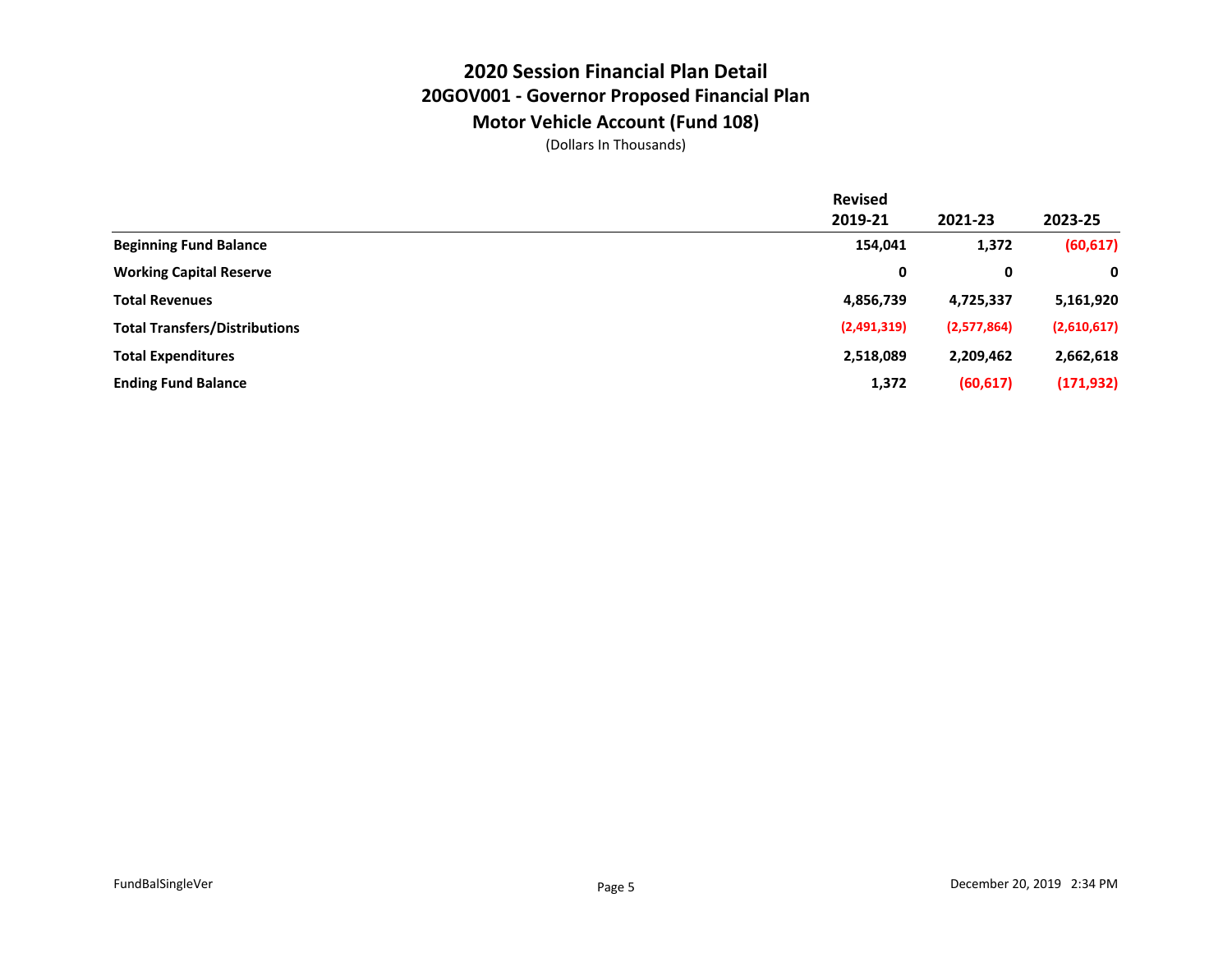## **2020 Session Financial Plan Detail 20GOV001 - Governor Proposed Financial Plan Motor Vehicle Account (Fund 108)**

|                                      | <b>Revised</b> |             |             |
|--------------------------------------|----------------|-------------|-------------|
|                                      | 2019-21        | 2021-23     | 2023-25     |
| <b>Beginning Fund Balance</b>        | 154,041        | 1,372       | (60, 617)   |
| <b>Working Capital Reserve</b>       | 0              | 0           | 0           |
| <b>Total Revenues</b>                | 4,856,739      | 4,725,337   | 5,161,920   |
| <b>Total Transfers/Distributions</b> | (2,491,319)    | (2,577,864) | (2,610,617) |
| <b>Total Expenditures</b>            | 2,518,089      | 2,209,462   | 2,662,618   |
| <b>Ending Fund Balance</b>           | 1,372          | (60, 617)   | (171, 932)  |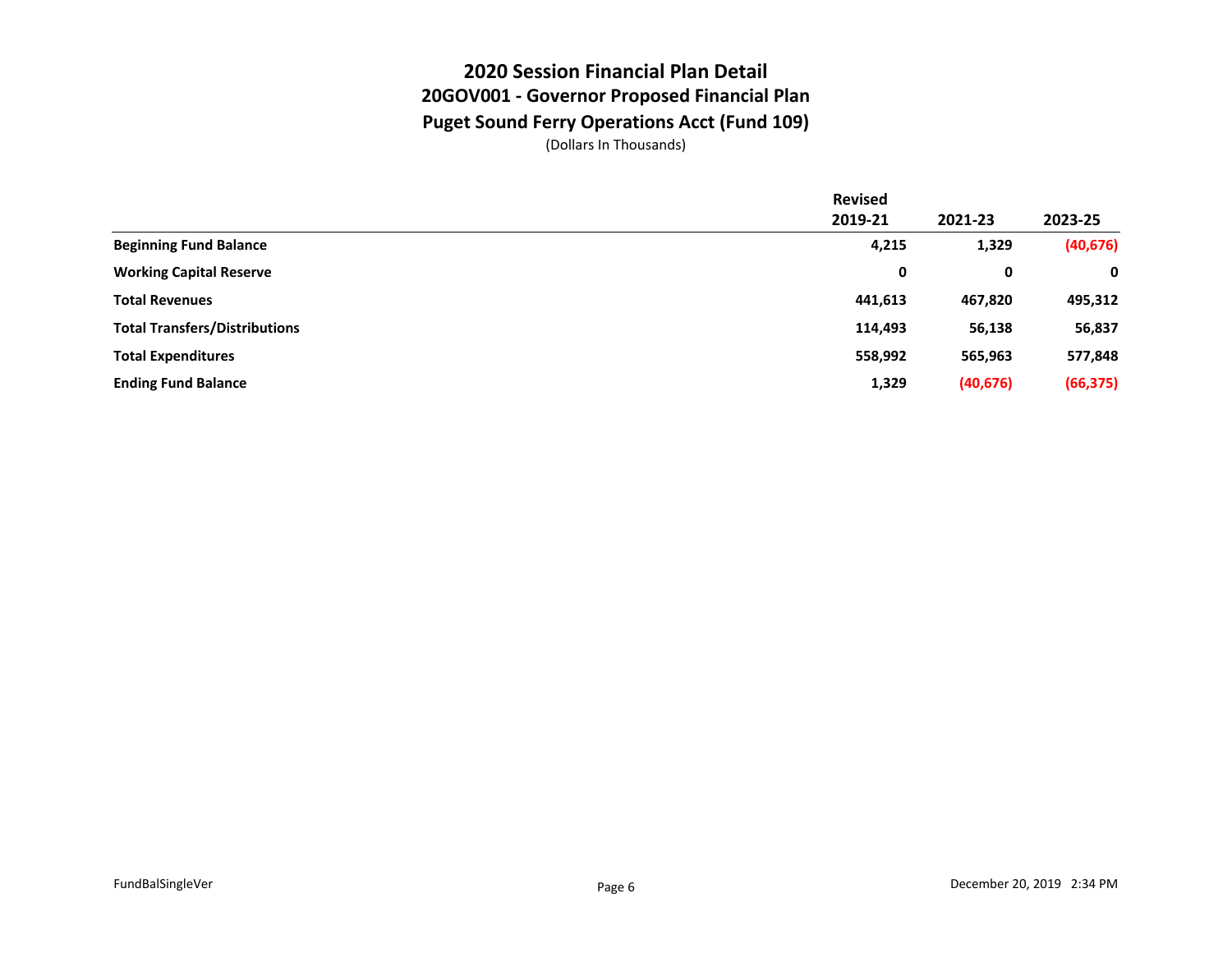#### **2020 Session Financial Plan Detail 20GOV001 - Governor Proposed Financial Plan Puget Sound Ferry Operations Acct (Fund 109)**

|                                      | <b>Revised</b> |           |           |
|--------------------------------------|----------------|-----------|-----------|
|                                      | 2019-21        | 2021-23   | 2023-25   |
| <b>Beginning Fund Balance</b>        | 4,215          | 1,329     | (40, 676) |
| <b>Working Capital Reserve</b>       | 0              | 0         | 0         |
| <b>Total Revenues</b>                | 441,613        | 467,820   | 495,312   |
| <b>Total Transfers/Distributions</b> | 114,493        | 56,138    | 56,837    |
| <b>Total Expenditures</b>            | 558,992        | 565,963   | 577,848   |
| <b>Ending Fund Balance</b>           | 1,329          | (40, 676) | (66, 375) |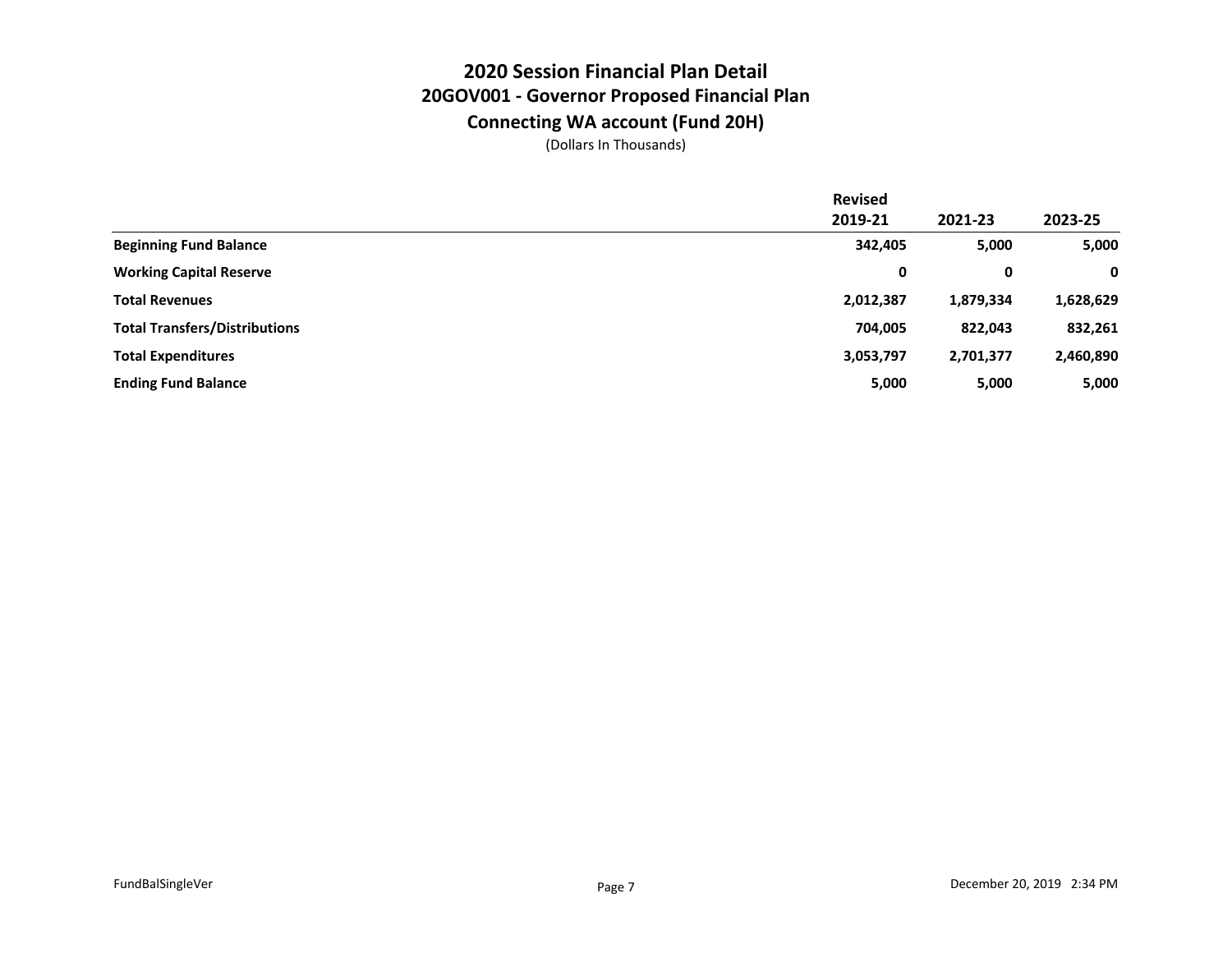## **2020 Session Financial Plan Detail 20GOV001 - Governor Proposed Financial Plan Connecting WA account (Fund 20H)**

|                                      | <b>Revised</b> |           |           |
|--------------------------------------|----------------|-----------|-----------|
|                                      | 2019-21        | 2021-23   | 2023-25   |
| <b>Beginning Fund Balance</b>        | 342,405        | 5,000     | 5,000     |
| <b>Working Capital Reserve</b>       | 0              | 0         | 0         |
| <b>Total Revenues</b>                | 2,012,387      | 1,879,334 | 1,628,629 |
| <b>Total Transfers/Distributions</b> | 704,005        | 822,043   | 832,261   |
| <b>Total Expenditures</b>            | 3,053,797      | 2,701,377 | 2,460,890 |
| <b>Ending Fund Balance</b>           | 5,000          | 5,000     | 5,000     |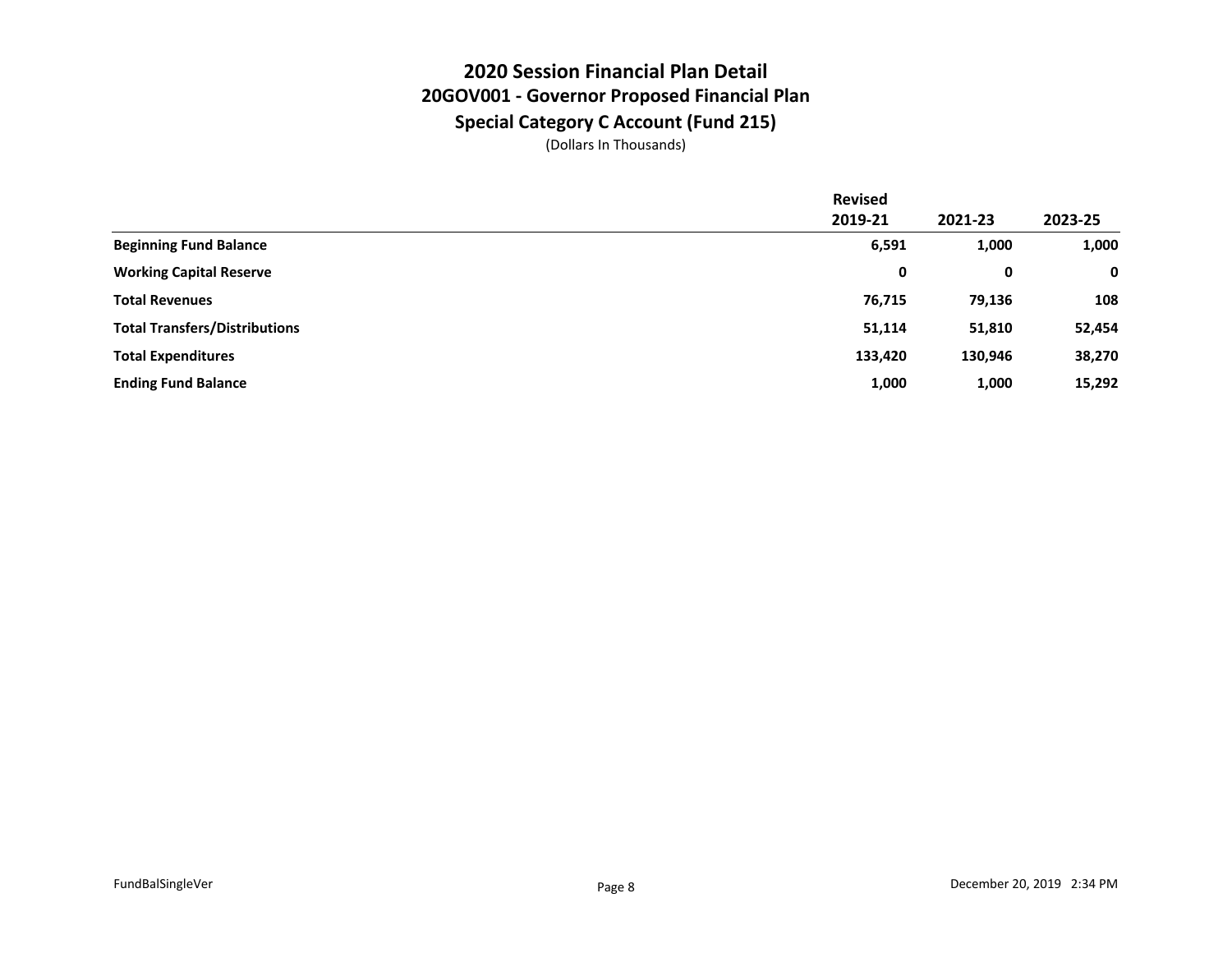## **2020 Session Financial Plan Detail 20GOV001 - Governor Proposed Financial Plan Special Category C Account (Fund 215)**

|                                      | <b>Revised</b> |         |             |
|--------------------------------------|----------------|---------|-------------|
|                                      | 2019-21        | 2021-23 | 2023-25     |
| <b>Beginning Fund Balance</b>        | 6,591          | 1,000   | 1,000       |
| <b>Working Capital Reserve</b>       | 0              | 0       | $\mathbf 0$ |
| <b>Total Revenues</b>                | 76,715         | 79,136  | 108         |
| <b>Total Transfers/Distributions</b> | 51,114         | 51,810  | 52,454      |
| <b>Total Expenditures</b>            | 133,420        | 130,946 | 38,270      |
| <b>Ending Fund Balance</b>           | 1,000          | 1,000   | 15,292      |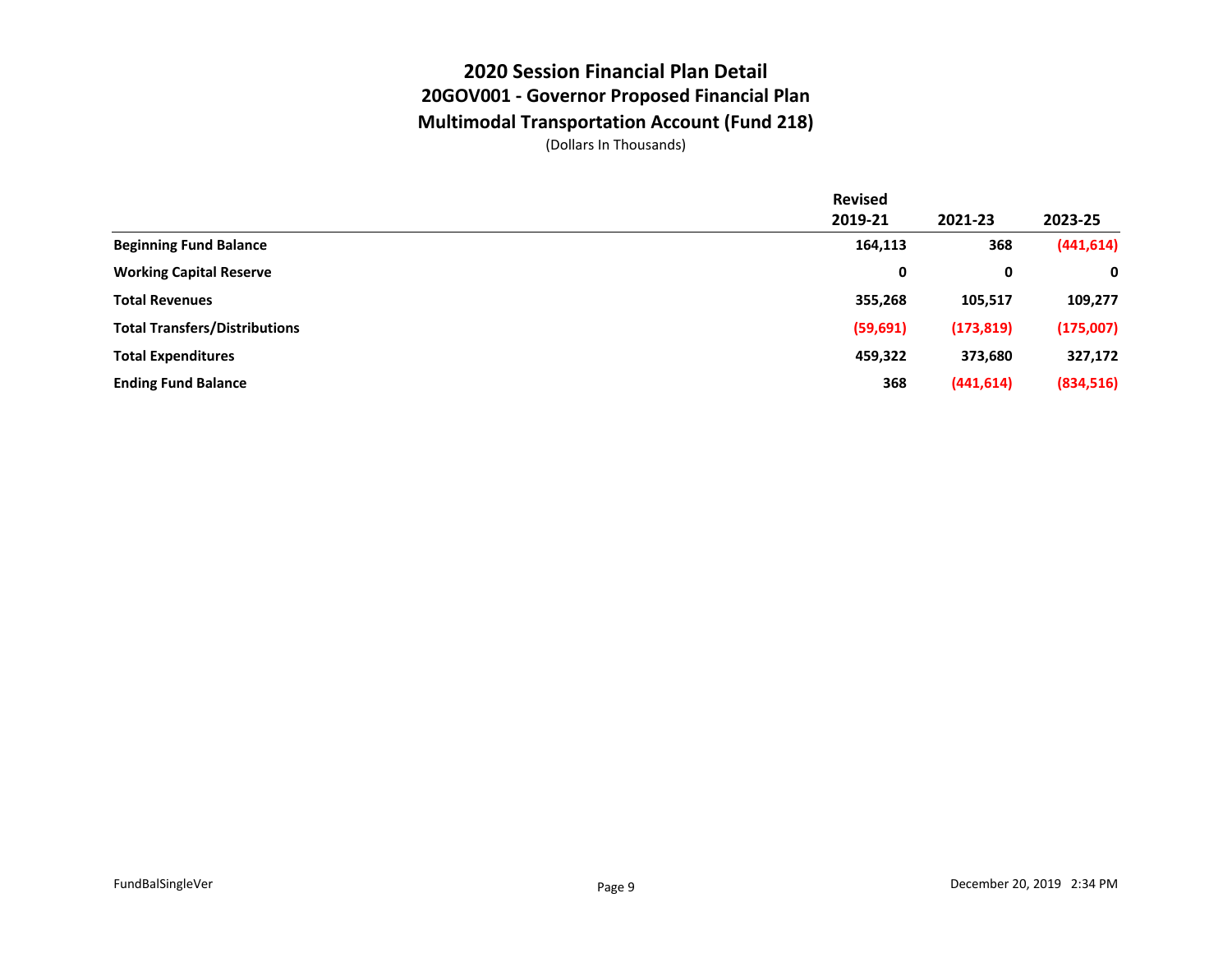### **2020 Session Financial Plan Detail 20GOV001 - Governor Proposed Financial Plan Multimodal Transportation Account (Fund 218)**

|                                      | <b>Revised</b> |            |            |
|--------------------------------------|----------------|------------|------------|
|                                      | 2019-21        | 2021-23    | 2023-25    |
| <b>Beginning Fund Balance</b>        | 164,113        | 368        | (441, 614) |
| <b>Working Capital Reserve</b>       | 0              | 0          | 0          |
| <b>Total Revenues</b>                | 355,268        | 105,517    | 109,277    |
| <b>Total Transfers/Distributions</b> | (59, 691)      | (173, 819) | (175,007)  |
| <b>Total Expenditures</b>            | 459,322        | 373,680    | 327,172    |
| <b>Ending Fund Balance</b>           | 368            | (441, 614) | (834, 516) |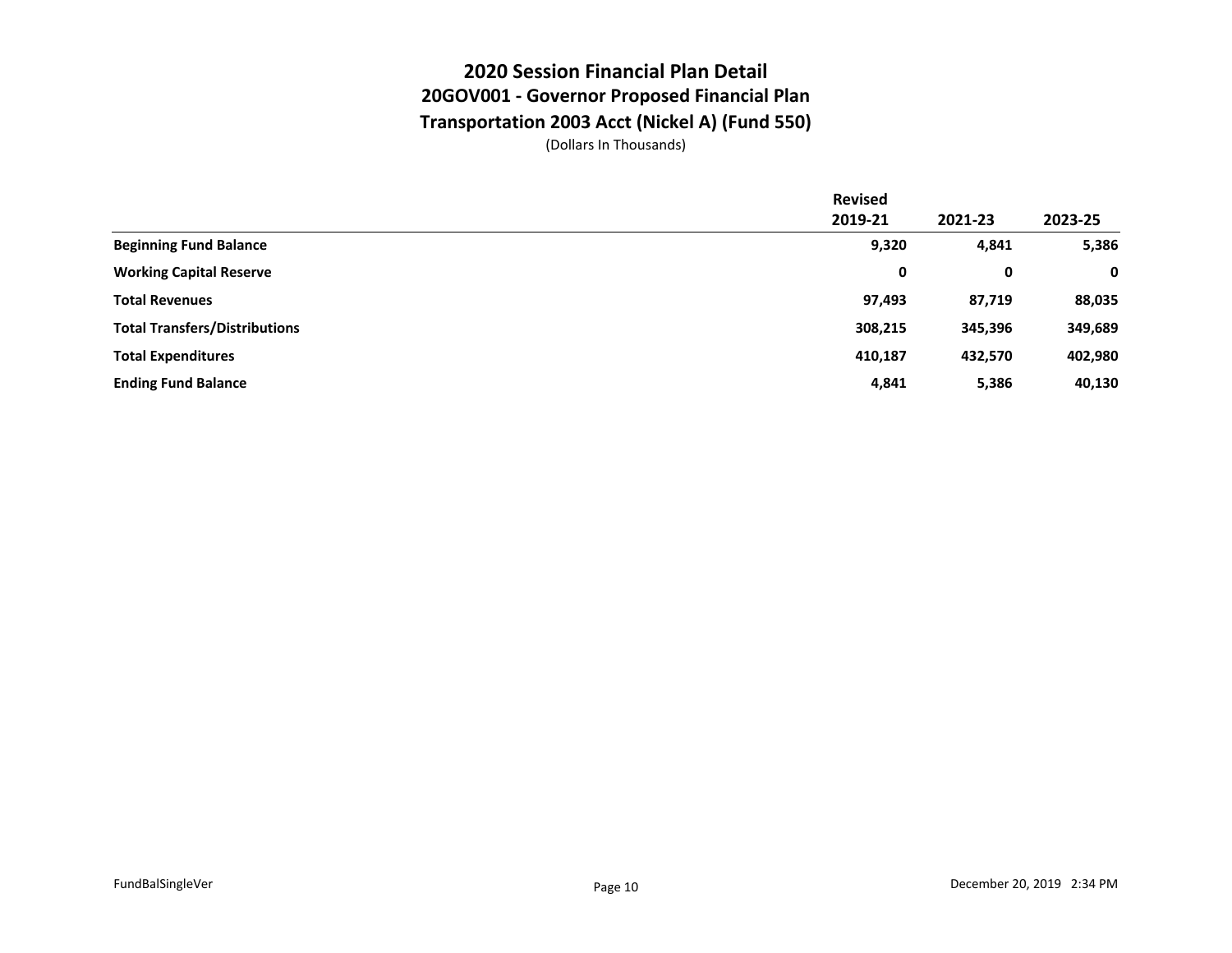#### **2020 Session Financial Plan Detail 20GOV001 - Governor Proposed Financial Plan Transportation 2003 Acct (Nickel A) (Fund 550)**

|                                      | <b>Revised</b> |         |         |
|--------------------------------------|----------------|---------|---------|
|                                      | 2019-21        | 2021-23 | 2023-25 |
| <b>Beginning Fund Balance</b>        | 9,320          | 4,841   | 5,386   |
| <b>Working Capital Reserve</b>       | 0              | 0       | 0       |
| <b>Total Revenues</b>                | 97,493         | 87,719  | 88,035  |
| <b>Total Transfers/Distributions</b> | 308,215        | 345,396 | 349,689 |
| <b>Total Expenditures</b>            | 410,187        | 432,570 | 402,980 |
| <b>Ending Fund Balance</b>           | 4,841          | 5,386   | 40,130  |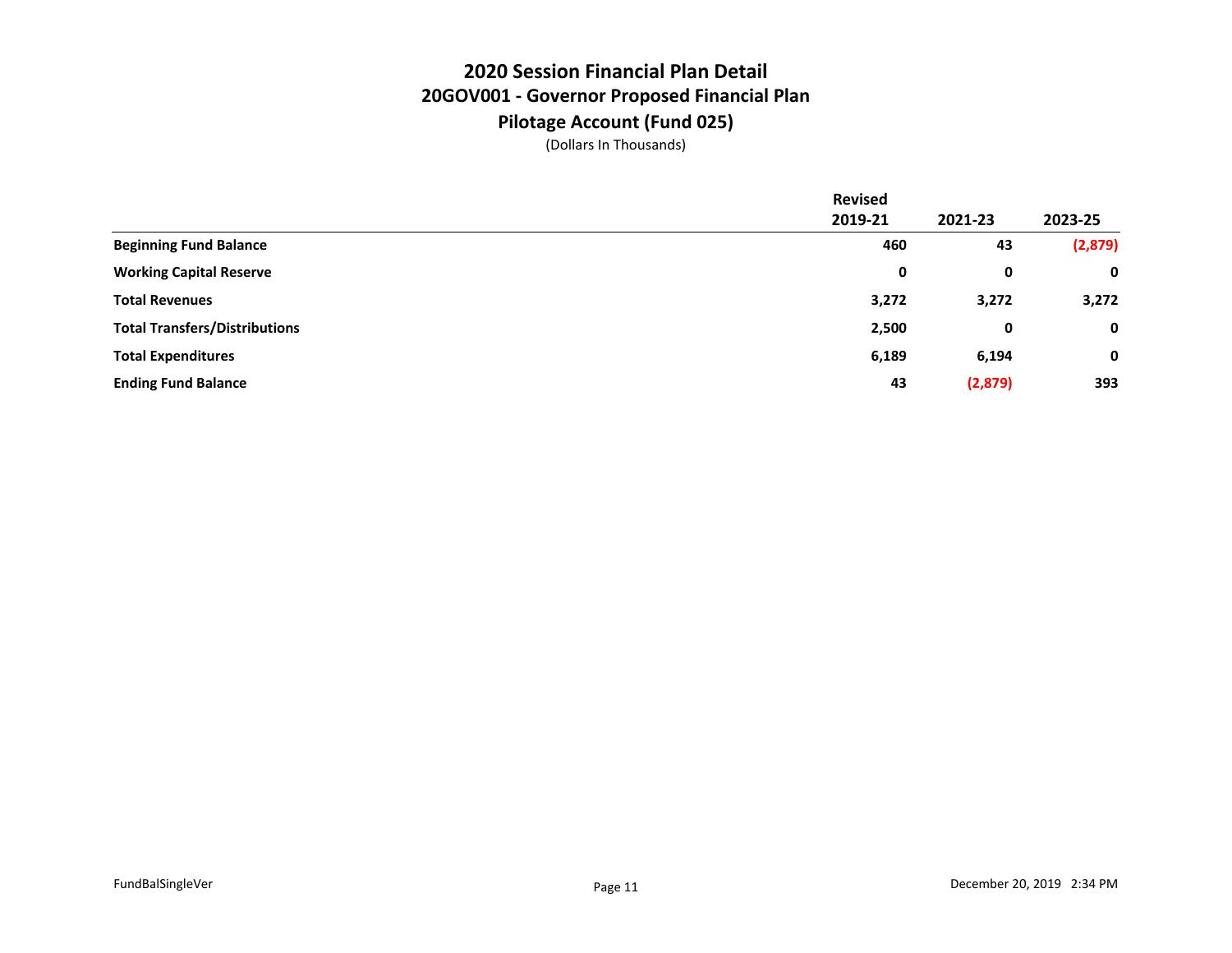## **2020 Session Financial Plan Detail 20GOV001 - Governor Proposed Financial Plan Pilotage Account (Fund 025)**

|                                      | <b>Revised</b> |         |             |
|--------------------------------------|----------------|---------|-------------|
|                                      | 2019-21        | 2021-23 | 2023-25     |
| <b>Beginning Fund Balance</b>        | 460            | 43      | (2,879)     |
| <b>Working Capital Reserve</b>       | 0              | 0       | 0           |
| <b>Total Revenues</b>                | 3,272          | 3,272   | 3,272       |
| <b>Total Transfers/Distributions</b> | 2,500          | 0       | 0           |
| <b>Total Expenditures</b>            | 6,189          | 6,194   | $\mathbf 0$ |
| <b>Ending Fund Balance</b>           | 43             | (2,879) | 393         |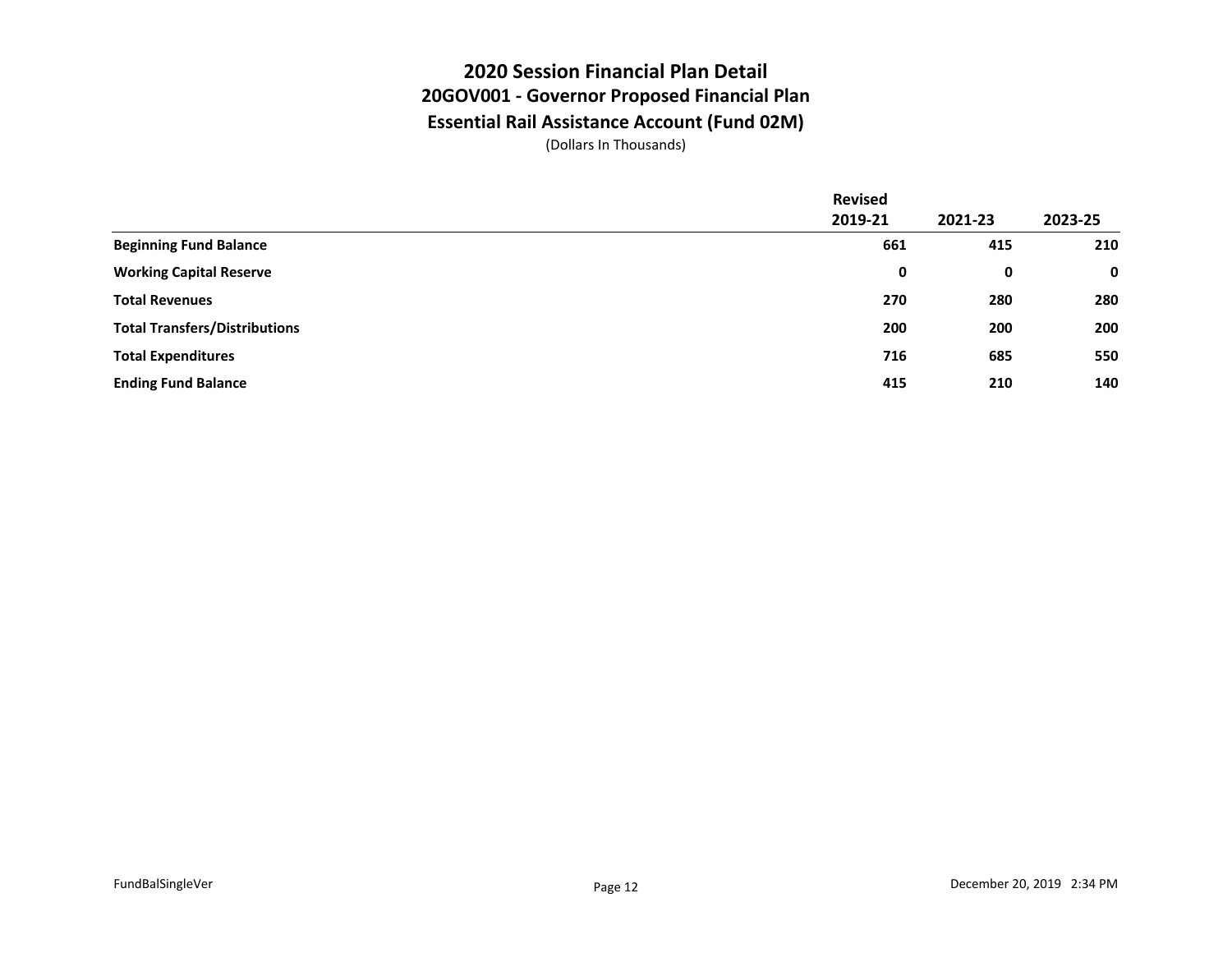## **2020 Session Financial Plan Detail 20GOV001 - Governor Proposed Financial Plan Essential Rail Assistance Account (Fund 02M)**

|                                      | <b>Revised</b> |         |             |
|--------------------------------------|----------------|---------|-------------|
|                                      | 2019-21        | 2021-23 | 2023-25     |
| <b>Beginning Fund Balance</b>        | 661            | 415     | 210         |
| <b>Working Capital Reserve</b>       | 0              | 0       | $\mathbf 0$ |
| <b>Total Revenues</b>                | 270            | 280     | 280         |
| <b>Total Transfers/Distributions</b> | 200            | 200     | 200         |
| <b>Total Expenditures</b>            | 716            | 685     | 550         |
| <b>Ending Fund Balance</b>           | 415            | 210     | 140         |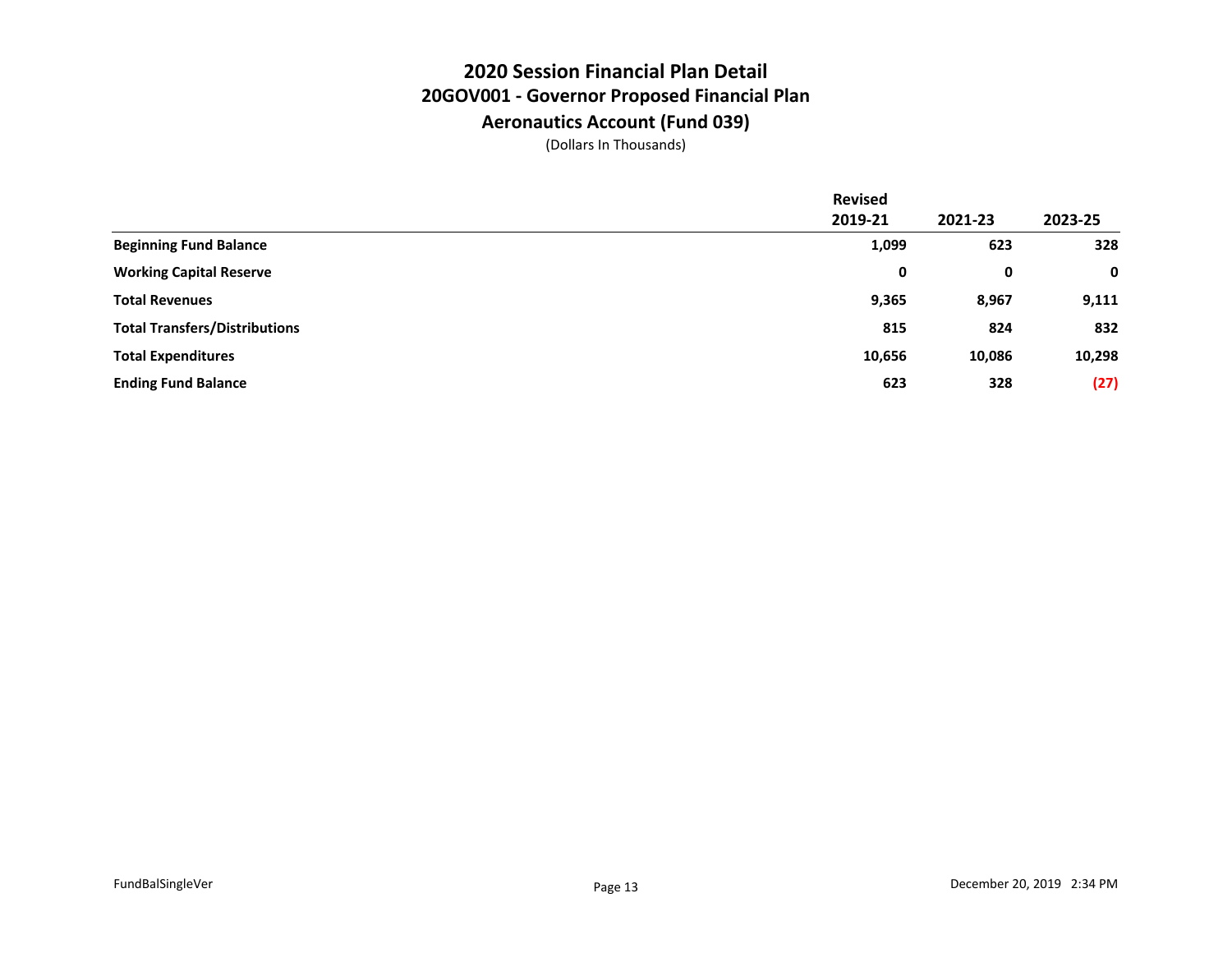#### **2020 Session Financial Plan Detail 20GOV001 - Governor Proposed Financial Plan Aeronautics Account (Fund 039)**

|                                      | <b>Revised</b> |         |         |
|--------------------------------------|----------------|---------|---------|
|                                      | 2019-21        | 2021-23 | 2023-25 |
| <b>Beginning Fund Balance</b>        | 1,099          | 623     | 328     |
| <b>Working Capital Reserve</b>       | 0              | 0       | 0       |
| <b>Total Revenues</b>                | 9,365          | 8,967   | 9,111   |
| <b>Total Transfers/Distributions</b> | 815            | 824     | 832     |
| <b>Total Expenditures</b>            | 10,656         | 10,086  | 10,298  |
| <b>Ending Fund Balance</b>           | 623            | 328     | (27)    |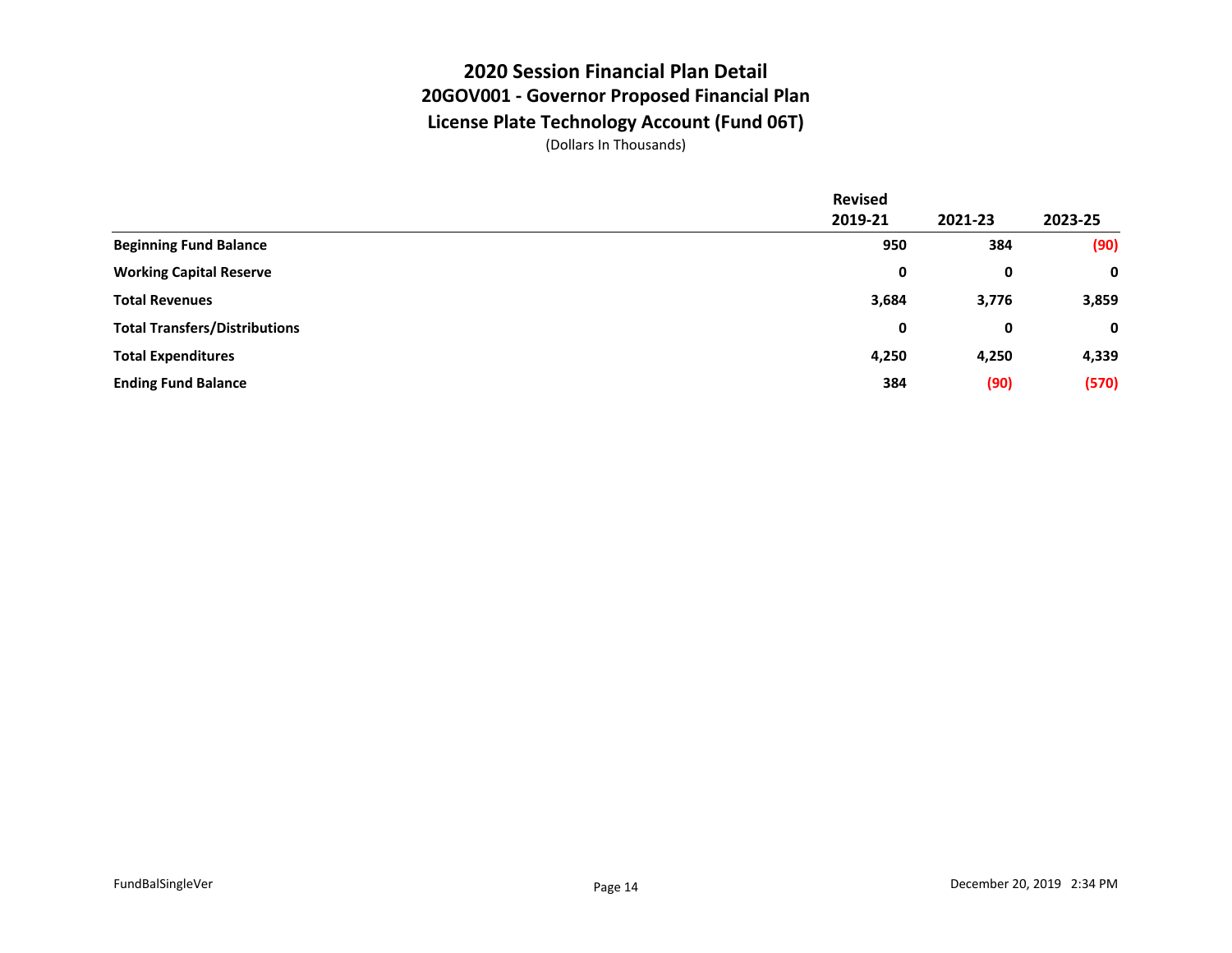# **2020 Session Financial Plan Detail 20GOV001 - Governor Proposed Financial Plan License Plate Technology Account (Fund 06T)**

|                                      | <b>Revised</b> |         |             |
|--------------------------------------|----------------|---------|-------------|
|                                      | 2019-21        | 2021-23 | 2023-25     |
| <b>Beginning Fund Balance</b>        | 950            | 384     | (90)        |
| <b>Working Capital Reserve</b>       | 0              | 0       | $\mathbf 0$ |
| <b>Total Revenues</b>                | 3,684          | 3,776   | 3,859       |
| <b>Total Transfers/Distributions</b> | 0              | 0       | $\mathbf 0$ |
| <b>Total Expenditures</b>            | 4,250          | 4,250   | 4,339       |
| <b>Ending Fund Balance</b>           | 384            | (90)    | (570)       |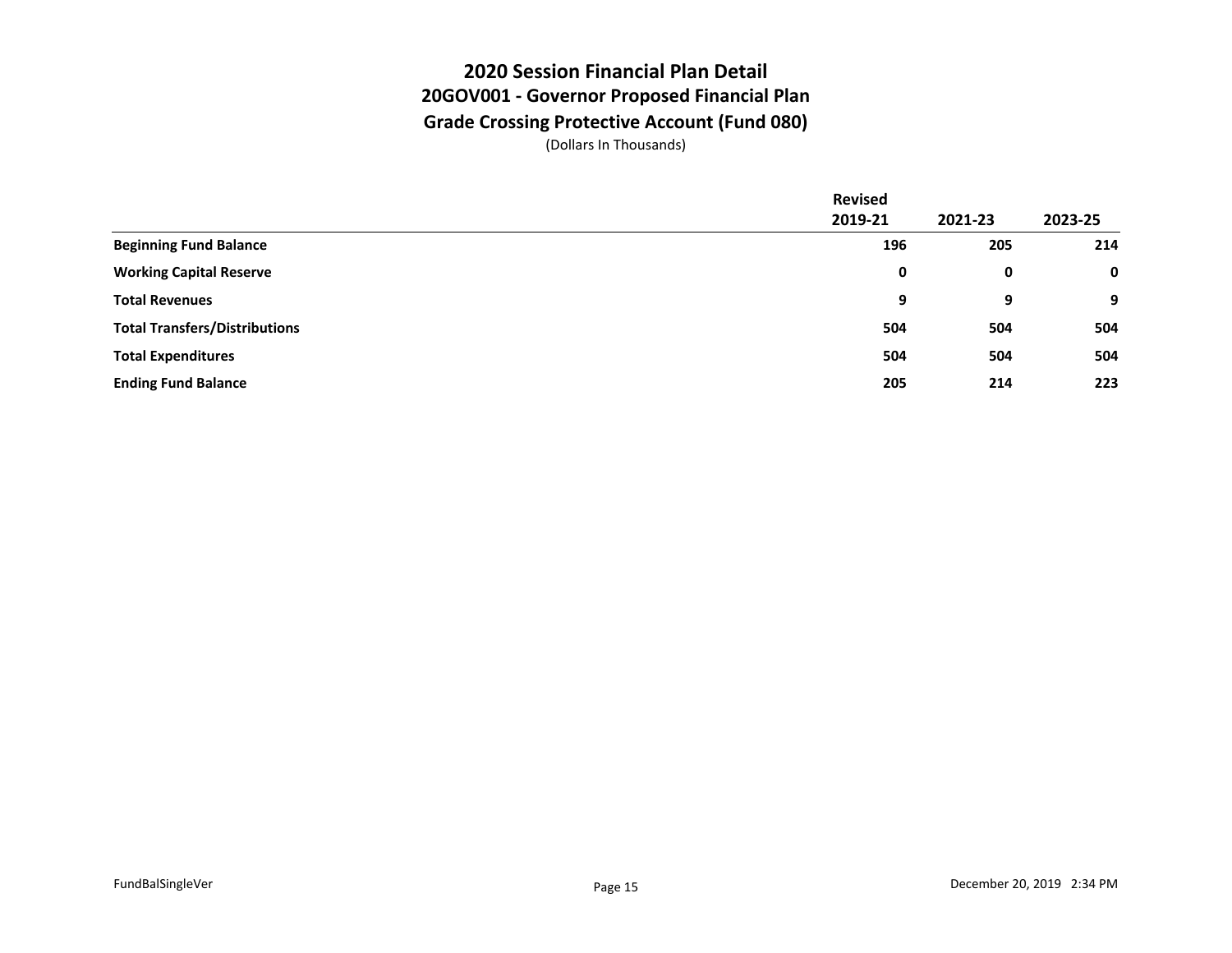## **2020 Session Financial Plan Detail 20GOV001 - Governor Proposed Financial Plan Grade Crossing Protective Account (Fund 080)**

|                                      | <b>Revised</b> |         |         |
|--------------------------------------|----------------|---------|---------|
|                                      | 2019-21        | 2021-23 | 2023-25 |
| <b>Beginning Fund Balance</b>        | 196            | 205     | 214     |
| <b>Working Capital Reserve</b>       | 0              | 0       | 0       |
| <b>Total Revenues</b>                | 9              | 9       | 9       |
| <b>Total Transfers/Distributions</b> | 504            | 504     | 504     |
| <b>Total Expenditures</b>            | 504            | 504     | 504     |
| <b>Ending Fund Balance</b>           | 205            | 214     | 223     |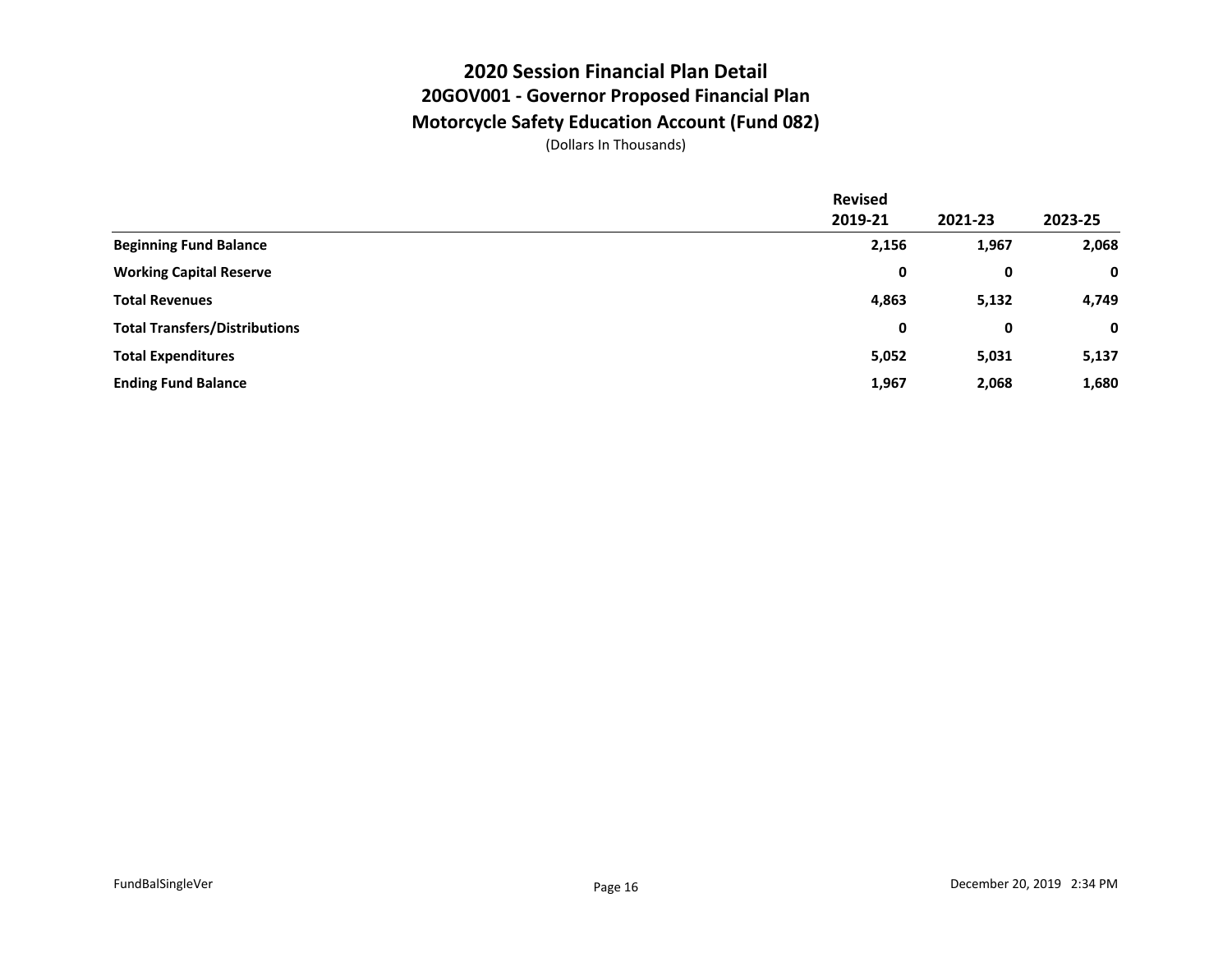#### **2020 Session Financial Plan Detail 20GOV001 - Governor Proposed Financial Plan Motorcycle Safety Education Account (Fund 082)**

|                                      | <b>Revised</b> |         |             |
|--------------------------------------|----------------|---------|-------------|
|                                      | 2019-21        | 2021-23 | 2023-25     |
| <b>Beginning Fund Balance</b>        | 2,156          | 1,967   | 2,068       |
| <b>Working Capital Reserve</b>       | 0              | 0       | $\mathbf 0$ |
| <b>Total Revenues</b>                | 4,863          | 5,132   | 4,749       |
| <b>Total Transfers/Distributions</b> | 0              | 0       | $\mathbf 0$ |
| <b>Total Expenditures</b>            | 5,052          | 5,031   | 5,137       |
| <b>Ending Fund Balance</b>           | 1,967          | 2,068   | 1,680       |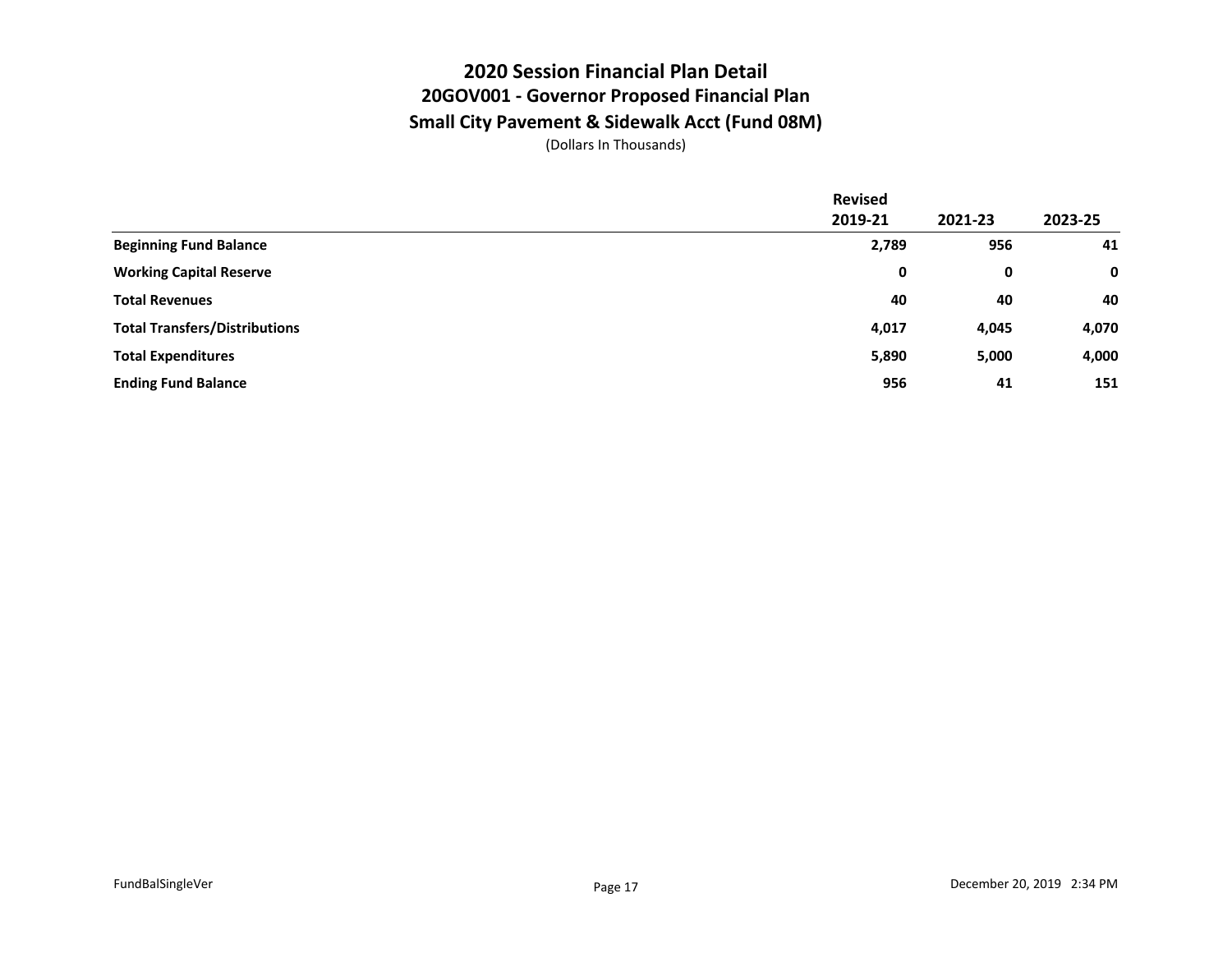#### **2020 Session Financial Plan Detail 20GOV001 - Governor Proposed Financial Plan Small City Pavement & Sidewalk Acct (Fund 08M)**

|                                      | <b>Revised</b> |         |             |
|--------------------------------------|----------------|---------|-------------|
|                                      | 2019-21        | 2021-23 | 2023-25     |
| <b>Beginning Fund Balance</b>        | 2,789          | 956     | 41          |
| <b>Working Capital Reserve</b>       | 0              | 0       | $\mathbf 0$ |
| <b>Total Revenues</b>                | 40             | 40      | 40          |
| <b>Total Transfers/Distributions</b> | 4,017          | 4,045   | 4,070       |
| <b>Total Expenditures</b>            | 5,890          | 5,000   | 4,000       |
| <b>Ending Fund Balance</b>           | 956            | 41      | 151         |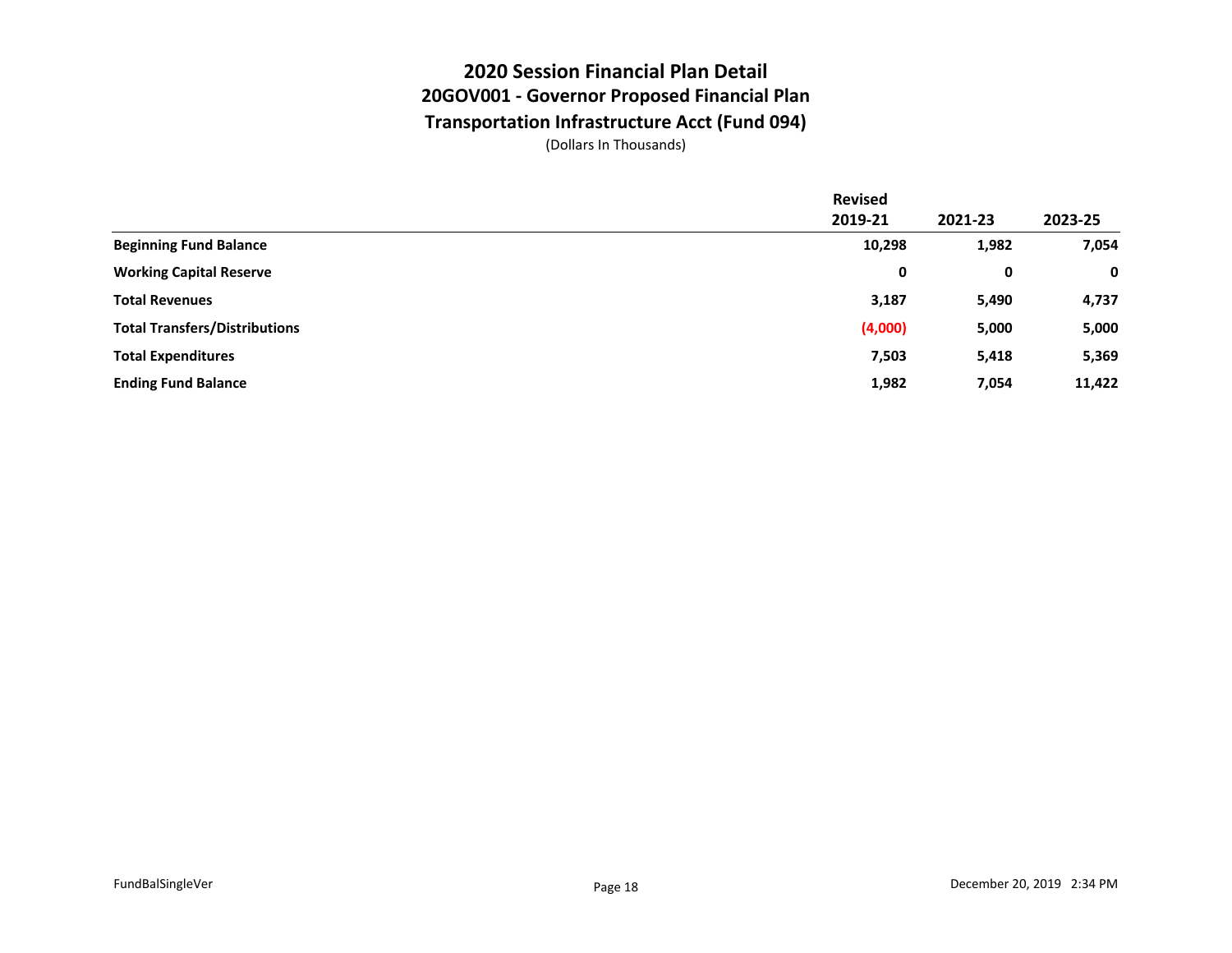## **2020 Session Financial Plan Detail 20GOV001 - Governor Proposed Financial Plan Transportation Infrastructure Acct (Fund 094)**

|                                      | <b>Revised</b> |         |             |
|--------------------------------------|----------------|---------|-------------|
|                                      | 2019-21        | 2021-23 | 2023-25     |
| <b>Beginning Fund Balance</b>        | 10,298         | 1,982   | 7,054       |
| <b>Working Capital Reserve</b>       | 0              | 0       | $\mathbf 0$ |
| <b>Total Revenues</b>                | 3,187          | 5,490   | 4,737       |
| <b>Total Transfers/Distributions</b> | (4,000)        | 5,000   | 5,000       |
| <b>Total Expenditures</b>            | 7,503          | 5,418   | 5,369       |
| <b>Ending Fund Balance</b>           | 1,982          | 7,054   | 11,422      |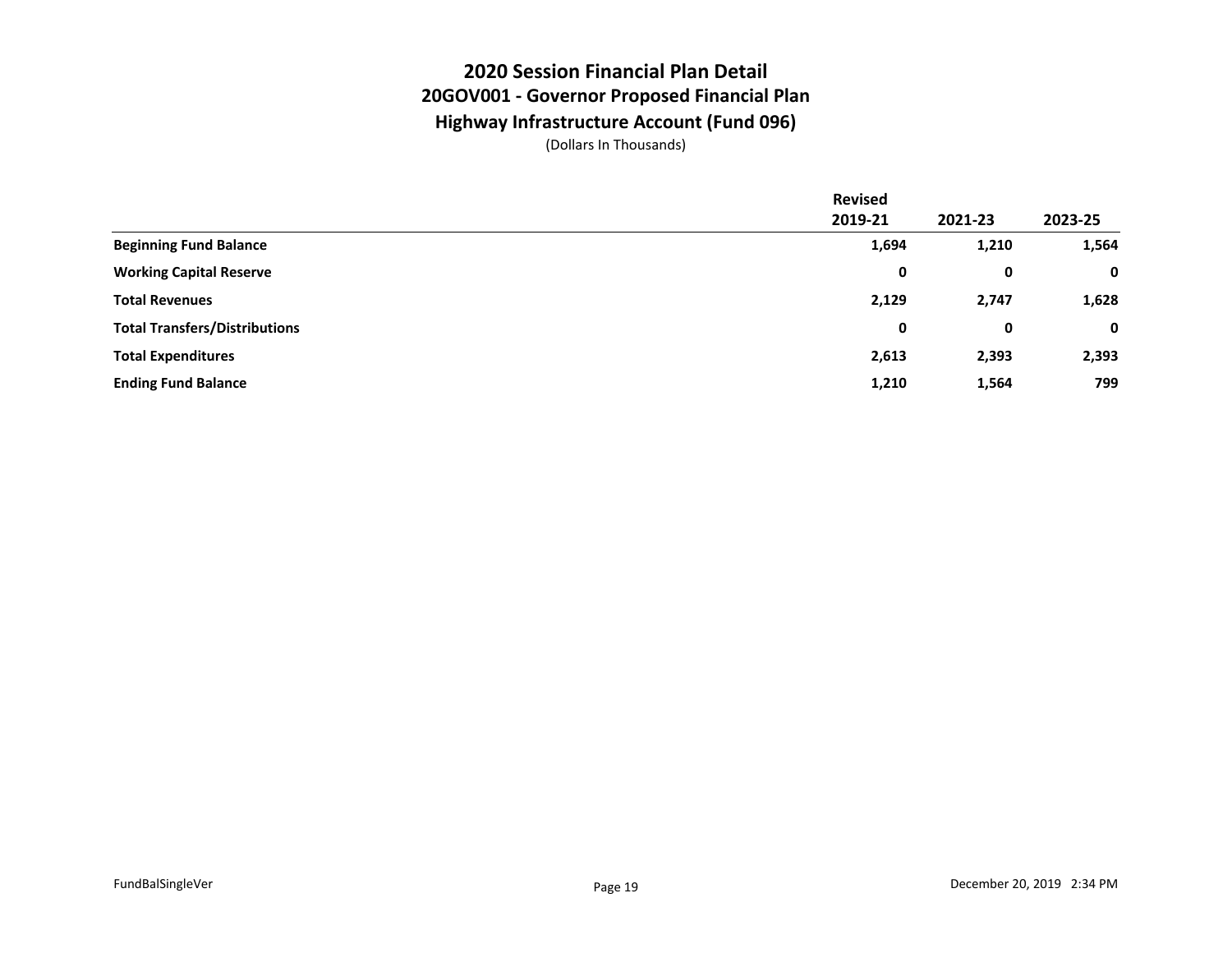#### **2020 Session Financial Plan Detail 20GOV001 - Governor Proposed Financial Plan Highway Infrastructure Account (Fund 096)**

|                                      | <b>Revised</b> |         |             |
|--------------------------------------|----------------|---------|-------------|
|                                      | 2019-21        | 2021-23 | 2023-25     |
| <b>Beginning Fund Balance</b>        | 1,694          | 1,210   | 1,564       |
| <b>Working Capital Reserve</b>       | 0              | 0       | $\mathbf 0$ |
| <b>Total Revenues</b>                | 2,129          | 2,747   | 1,628       |
| <b>Total Transfers/Distributions</b> | 0              | 0       | $\mathbf 0$ |
| <b>Total Expenditures</b>            | 2,613          | 2,393   | 2,393       |
| <b>Ending Fund Balance</b>           | 1,210          | 1,564   | 799         |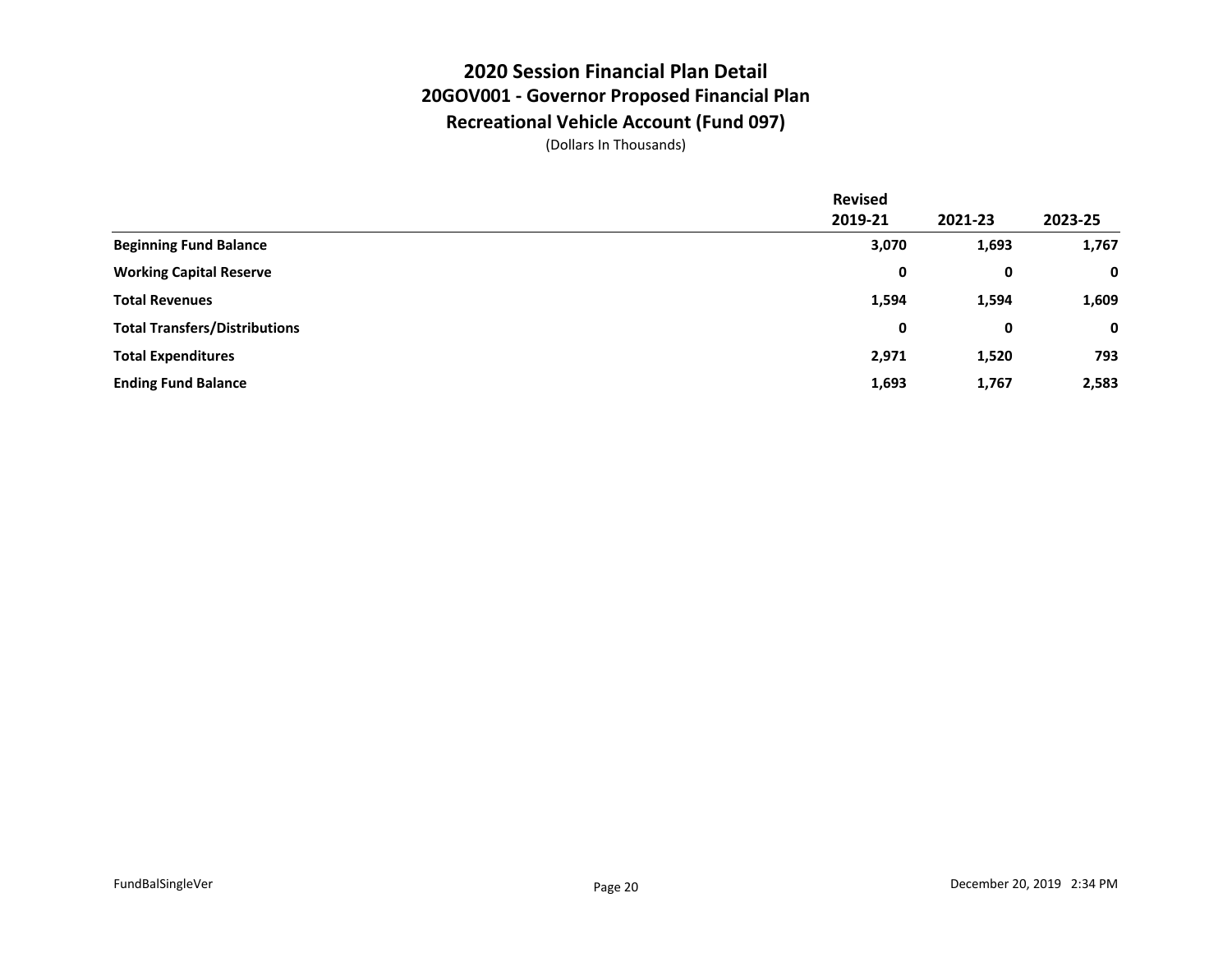## **2020 Session Financial Plan Detail 20GOV001 - Governor Proposed Financial Plan Recreational Vehicle Account (Fund 097)**

|                                      | <b>Revised</b> |         |             |
|--------------------------------------|----------------|---------|-------------|
|                                      | 2019-21        | 2021-23 | 2023-25     |
| <b>Beginning Fund Balance</b>        | 3,070          | 1,693   | 1,767       |
| <b>Working Capital Reserve</b>       | 0              | 0       | $\mathbf 0$ |
| <b>Total Revenues</b>                | 1,594          | 1,594   | 1,609       |
| <b>Total Transfers/Distributions</b> | 0              | 0       | $\mathbf 0$ |
| <b>Total Expenditures</b>            | 2,971          | 1,520   | 793         |
| <b>Ending Fund Balance</b>           | 1,693          | 1,767   | 2,583       |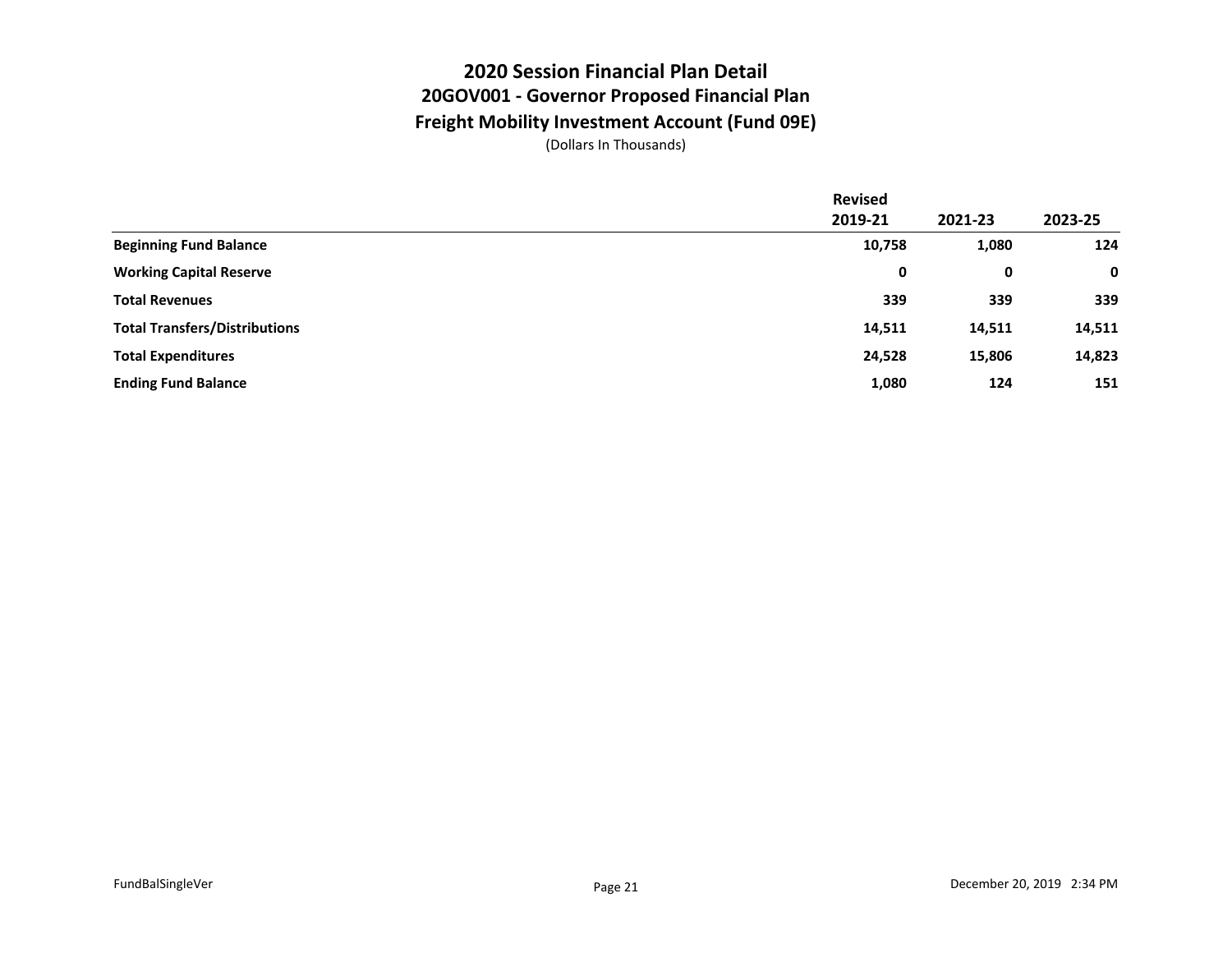### **2020 Session Financial Plan Detail 20GOV001 - Governor Proposed Financial Plan Freight Mobility Investment Account (Fund 09E)**

|                                      | <b>Revised</b> |         |         |
|--------------------------------------|----------------|---------|---------|
|                                      | 2019-21        | 2021-23 | 2023-25 |
| <b>Beginning Fund Balance</b>        | 10,758         | 1,080   | 124     |
| <b>Working Capital Reserve</b>       | 0              | 0       | 0       |
| <b>Total Revenues</b>                | 339            | 339     | 339     |
| <b>Total Transfers/Distributions</b> | 14,511         | 14,511  | 14,511  |
| <b>Total Expenditures</b>            | 24,528         | 15,806  | 14,823  |
| <b>Ending Fund Balance</b>           | 1,080          | 124     | 151     |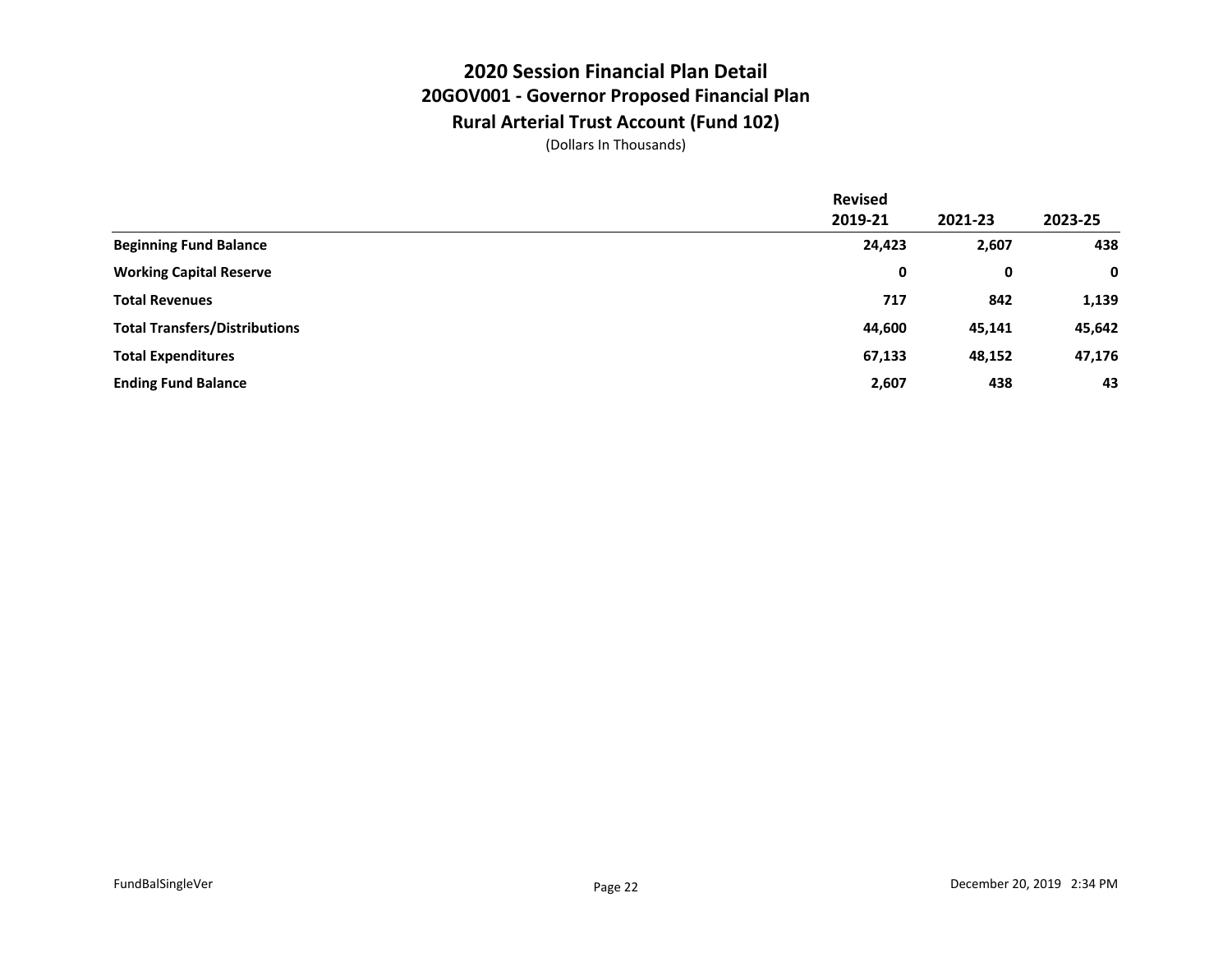## **2020 Session Financial Plan Detail 20GOV001 - Governor Proposed Financial Plan Rural Arterial Trust Account (Fund 102)**

|                                      | <b>Revised</b> |         |             |
|--------------------------------------|----------------|---------|-------------|
|                                      | 2019-21        | 2021-23 | 2023-25     |
| <b>Beginning Fund Balance</b>        | 24,423         | 2,607   | 438         |
| <b>Working Capital Reserve</b>       | 0              | 0       | $\mathbf 0$ |
| <b>Total Revenues</b>                | 717            | 842     | 1,139       |
| <b>Total Transfers/Distributions</b> | 44,600         | 45,141  | 45,642      |
| <b>Total Expenditures</b>            | 67,133         | 48,152  | 47,176      |
| <b>Ending Fund Balance</b>           | 2,607          | 438     | 43          |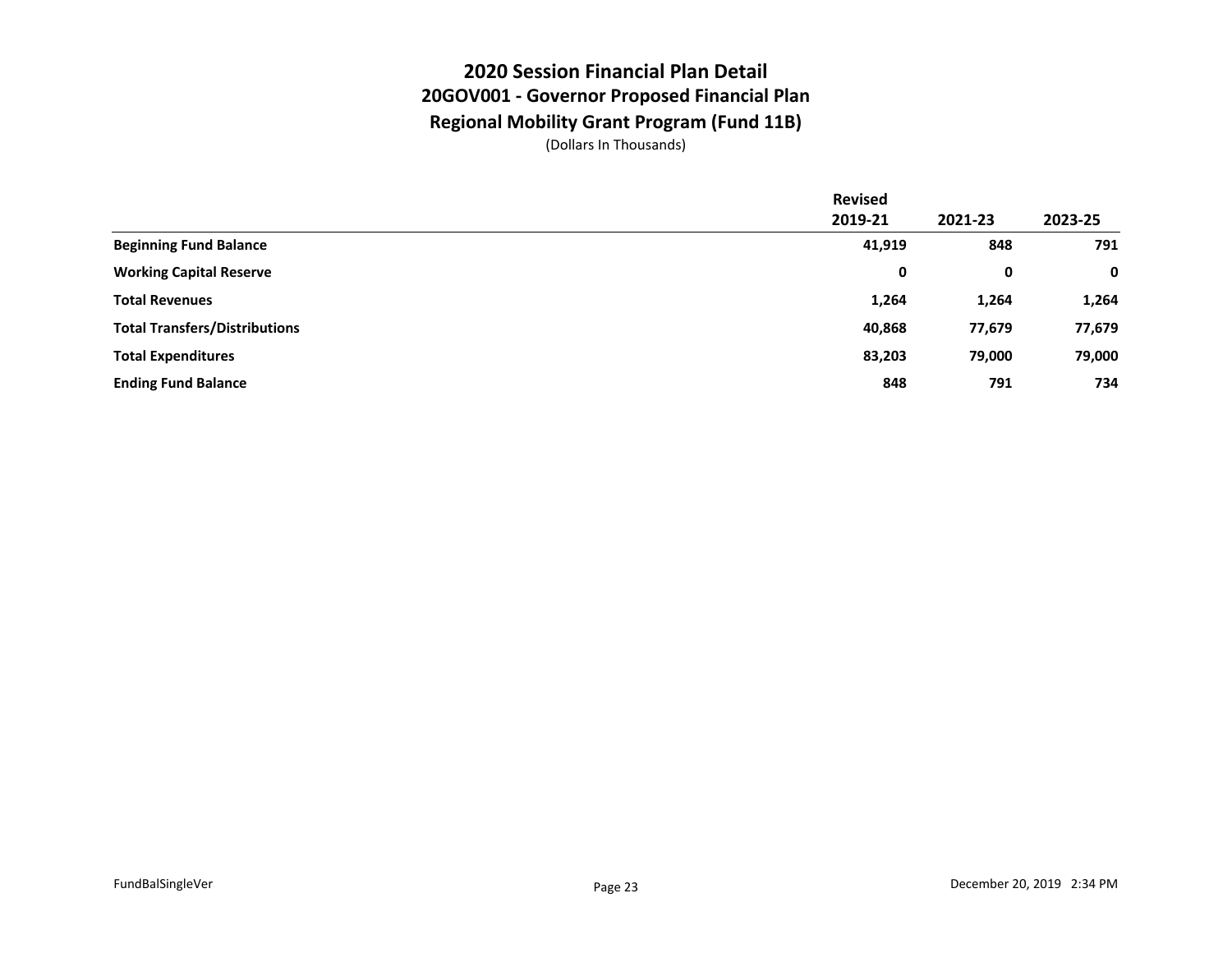## **2020 Session Financial Plan Detail 20GOV001 - Governor Proposed Financial Plan Regional Mobility Grant Program (Fund 11B)**

|                                      | <b>Revised</b> |         |             |
|--------------------------------------|----------------|---------|-------------|
|                                      | 2019-21        | 2021-23 | 2023-25     |
| <b>Beginning Fund Balance</b>        | 41,919         | 848     | 791         |
| <b>Working Capital Reserve</b>       | 0              | 0       | $\mathbf 0$ |
| <b>Total Revenues</b>                | 1,264          | 1,264   | 1,264       |
| <b>Total Transfers/Distributions</b> | 40,868         | 77,679  | 77,679      |
| <b>Total Expenditures</b>            | 83,203         | 79,000  | 79,000      |
| <b>Ending Fund Balance</b>           | 848            | 791     | 734         |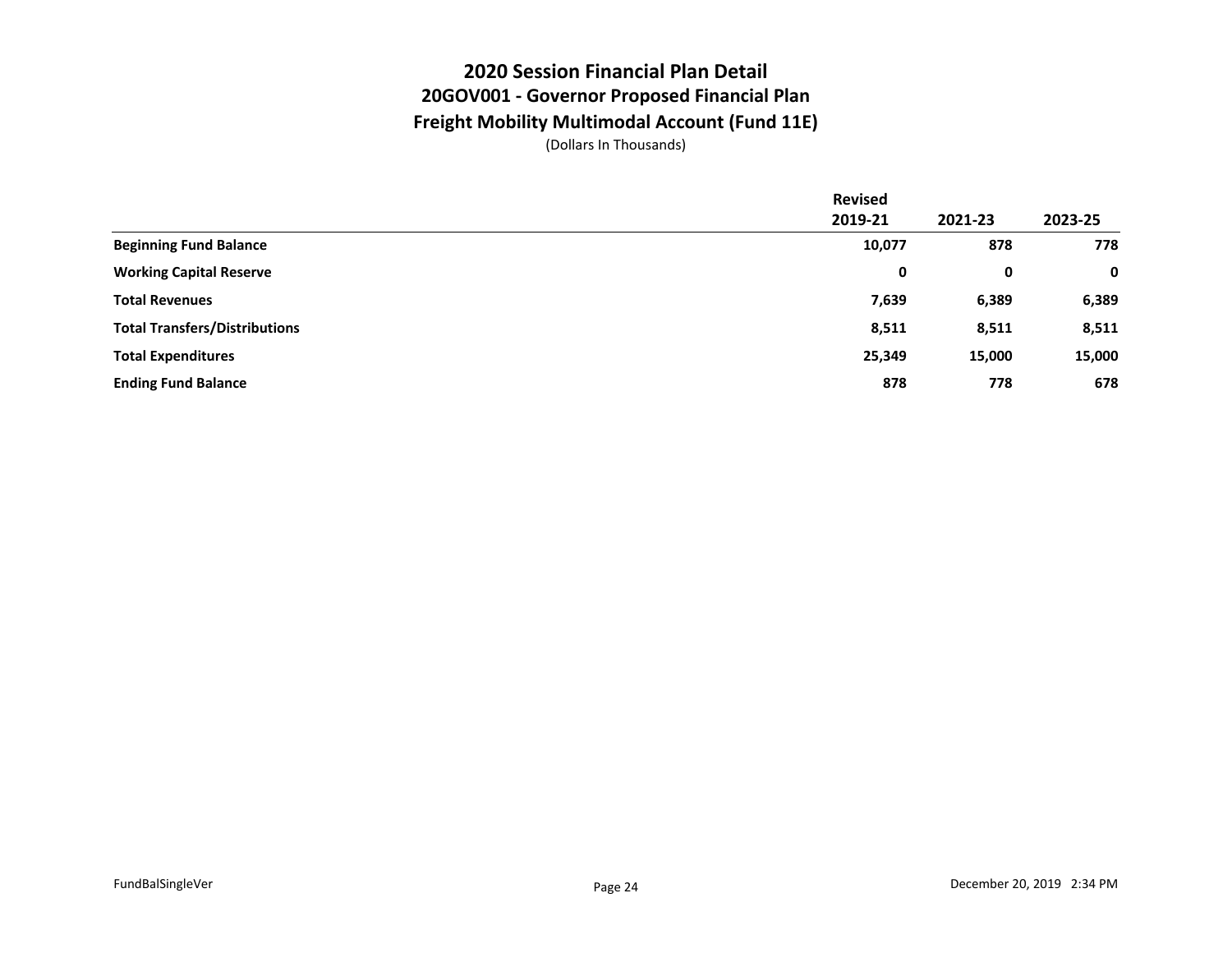### **2020 Session Financial Plan Detail 20GOV001 - Governor Proposed Financial Plan Freight Mobility Multimodal Account (Fund 11E)**

|                                      | <b>Revised</b> |         |         |
|--------------------------------------|----------------|---------|---------|
|                                      | 2019-21        | 2021-23 | 2023-25 |
| <b>Beginning Fund Balance</b>        | 10,077         | 878     | 778     |
| <b>Working Capital Reserve</b>       | 0              | 0       | 0       |
| <b>Total Revenues</b>                | 7,639          | 6,389   | 6,389   |
| <b>Total Transfers/Distributions</b> | 8,511          | 8,511   | 8,511   |
| <b>Total Expenditures</b>            | 25,349         | 15,000  | 15,000  |
| <b>Ending Fund Balance</b>           | 878            | 778     | 678     |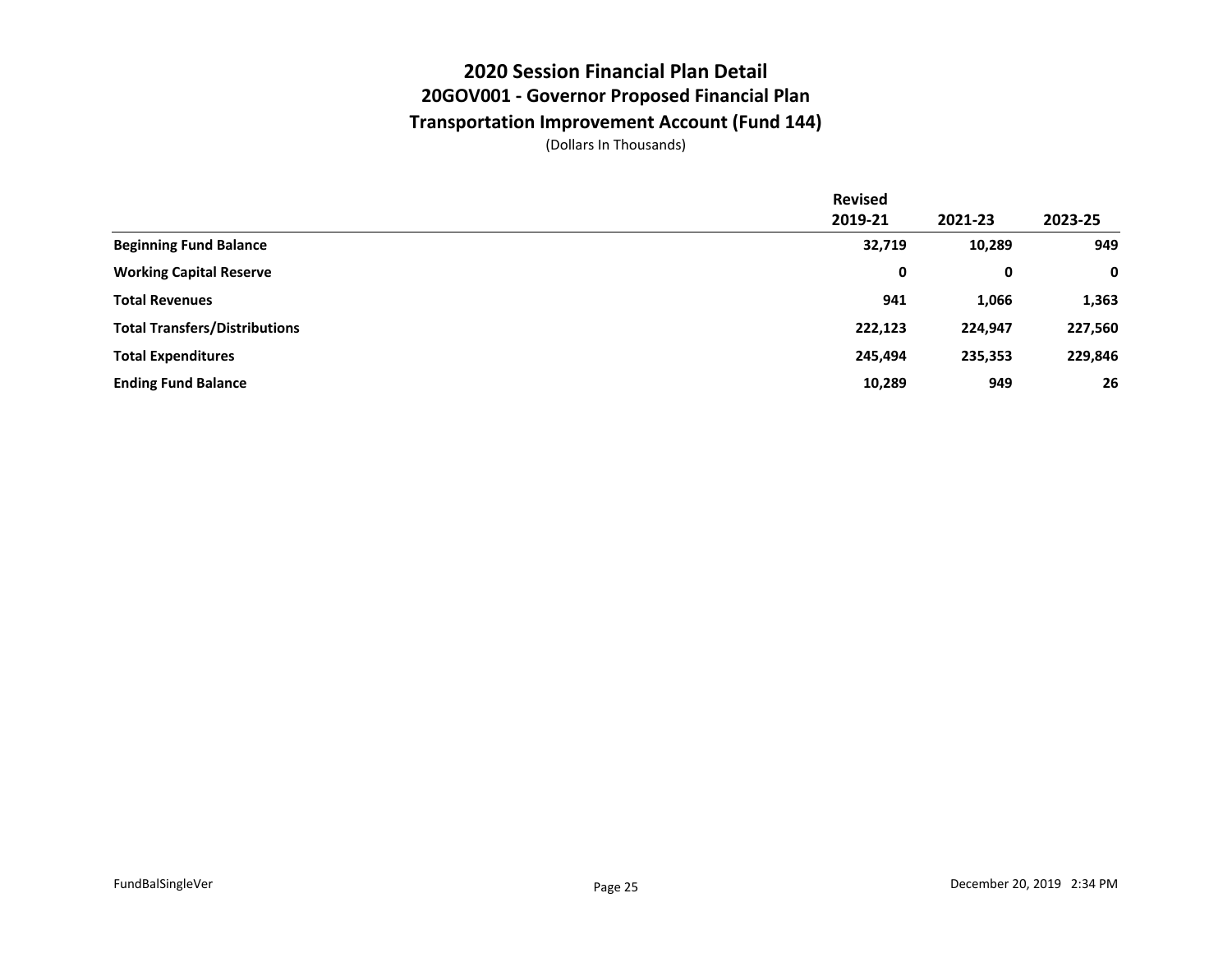## **2020 Session Financial Plan Detail 20GOV001 - Governor Proposed Financial Plan Transportation Improvement Account (Fund 144)**

|                                      | <b>Revised</b> |         |         |
|--------------------------------------|----------------|---------|---------|
|                                      | 2019-21        | 2021-23 | 2023-25 |
| <b>Beginning Fund Balance</b>        | 32,719         | 10,289  | 949     |
| <b>Working Capital Reserve</b>       | 0              | 0       | 0       |
| <b>Total Revenues</b>                | 941            | 1,066   | 1,363   |
| <b>Total Transfers/Distributions</b> | 222,123        | 224,947 | 227,560 |
| <b>Total Expenditures</b>            | 245,494        | 235,353 | 229,846 |
| <b>Ending Fund Balance</b>           | 10,289         | 949     | 26      |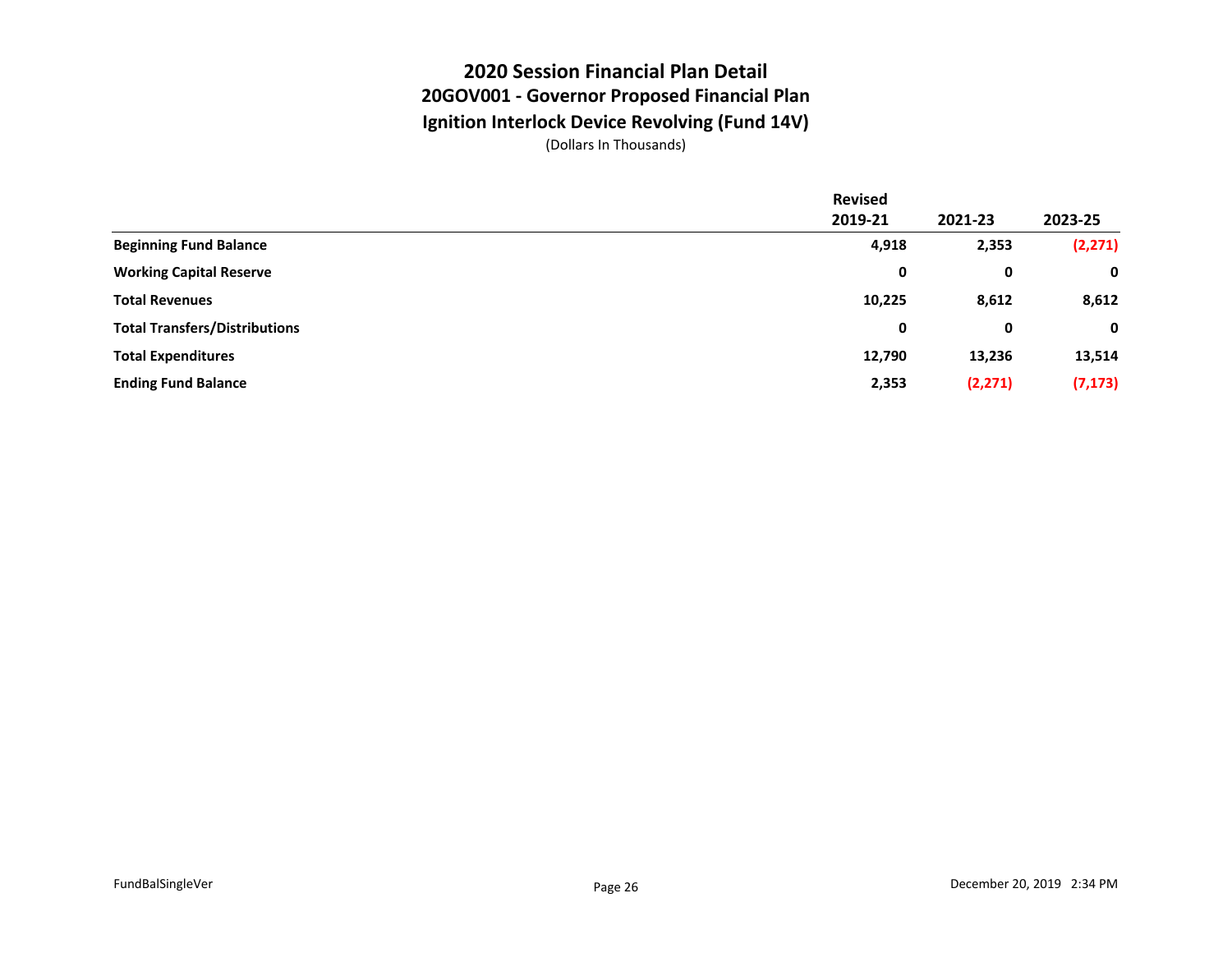#### **2020 Session Financial Plan Detail 20GOV001 - Governor Proposed Financial Plan Ignition Interlock Device Revolving (Fund 14V)**

|                                      | <b>Revised</b> |          |          |
|--------------------------------------|----------------|----------|----------|
|                                      | 2019-21        | 2021-23  | 2023-25  |
| <b>Beginning Fund Balance</b>        | 4,918          | 2,353    | (2, 271) |
| <b>Working Capital Reserve</b>       | 0              | 0        | 0        |
| <b>Total Revenues</b>                | 10,225         | 8,612    | 8,612    |
| <b>Total Transfers/Distributions</b> | 0              | 0        | 0        |
| <b>Total Expenditures</b>            | 12,790         | 13,236   | 13,514   |
| <b>Ending Fund Balance</b>           | 2,353          | (2, 271) | (7, 173) |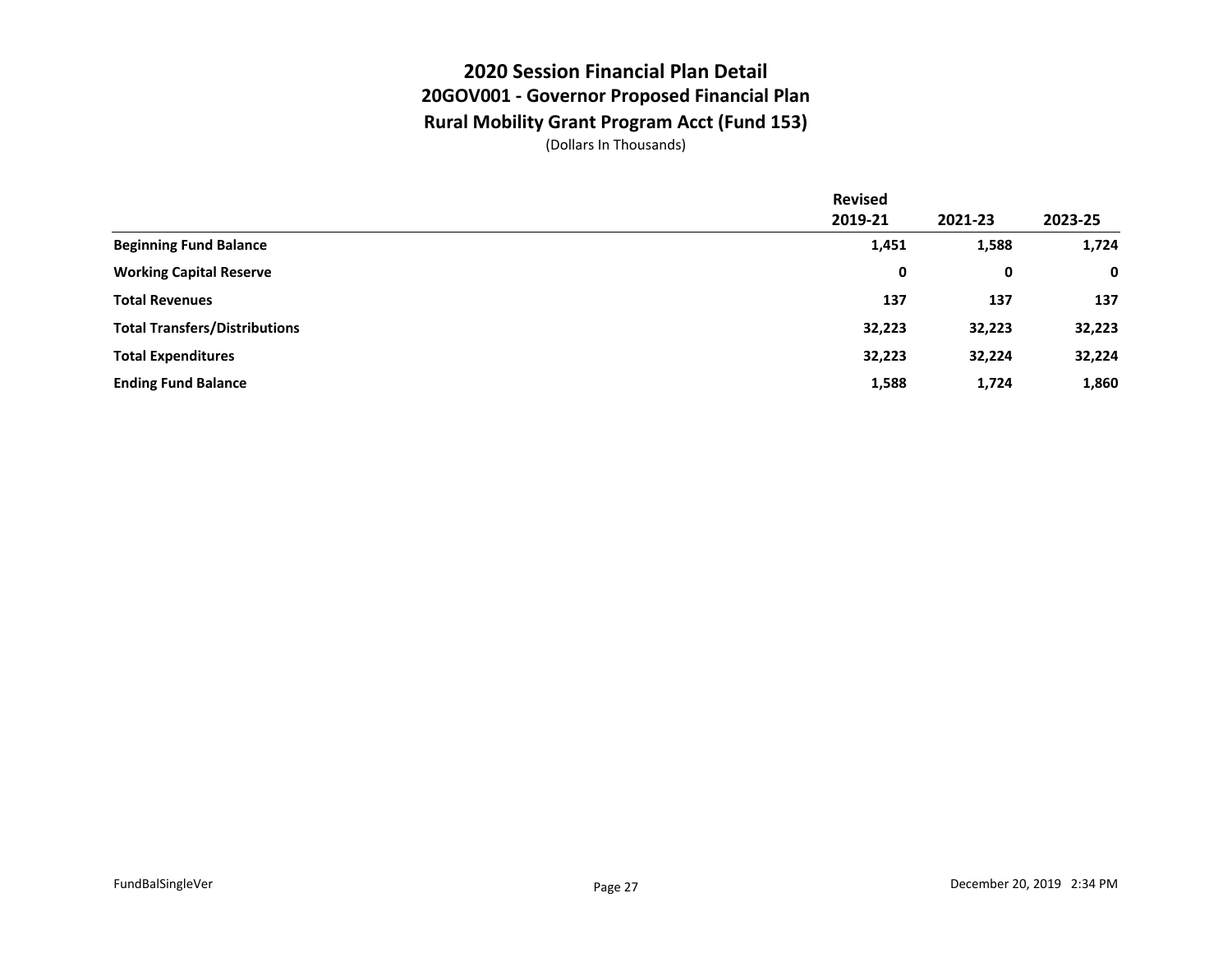## **2020 Session Financial Plan Detail 20GOV001 - Governor Proposed Financial Plan Rural Mobility Grant Program Acct (Fund 153)**

|                                      | <b>Revised</b> |         |         |
|--------------------------------------|----------------|---------|---------|
|                                      | 2019-21        | 2021-23 | 2023-25 |
| <b>Beginning Fund Balance</b>        | 1,451          | 1,588   | 1,724   |
| <b>Working Capital Reserve</b>       | 0              | 0       | 0       |
| <b>Total Revenues</b>                | 137            | 137     | 137     |
| <b>Total Transfers/Distributions</b> | 32,223         | 32,223  | 32,223  |
| <b>Total Expenditures</b>            | 32,223         | 32,224  | 32,224  |
| <b>Ending Fund Balance</b>           | 1,588          | 1,724   | 1,860   |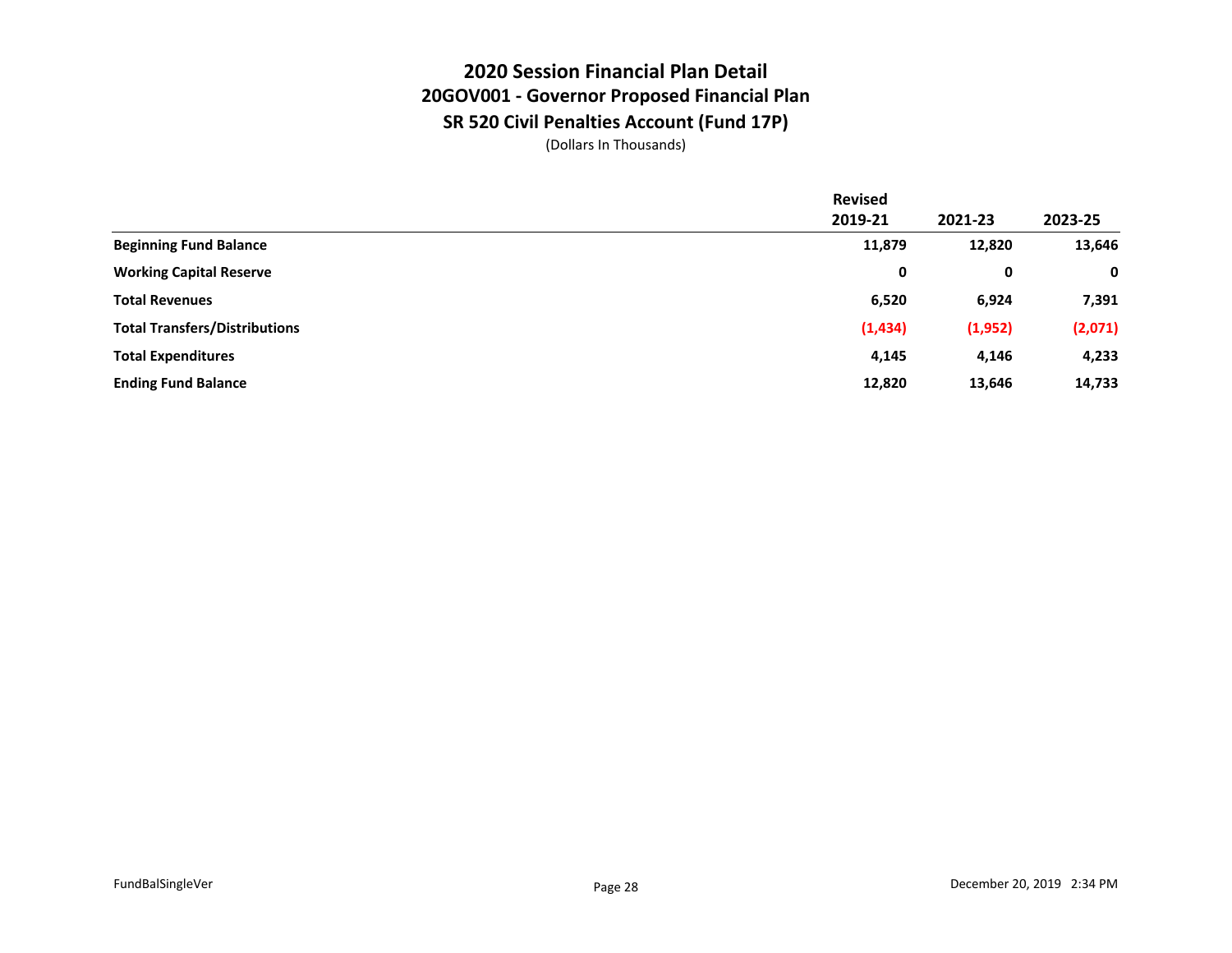## **2020 Session Financial Plan Detail 20GOV001 - Governor Proposed Financial Plan SR 520 Civil Penalties Account (Fund 17P)**

|                                      | <b>Revised</b> |         |             |
|--------------------------------------|----------------|---------|-------------|
|                                      | 2019-21        | 2021-23 | 2023-25     |
| <b>Beginning Fund Balance</b>        | 11,879         | 12,820  | 13,646      |
| <b>Working Capital Reserve</b>       | 0              | 0       | $\mathbf 0$ |
| <b>Total Revenues</b>                | 6,520          | 6,924   | 7,391       |
| <b>Total Transfers/Distributions</b> | (1, 434)       | (1,952) | (2,071)     |
| <b>Total Expenditures</b>            | 4,145          | 4,146   | 4,233       |
| <b>Ending Fund Balance</b>           | 12,820         | 13,646  | 14,733      |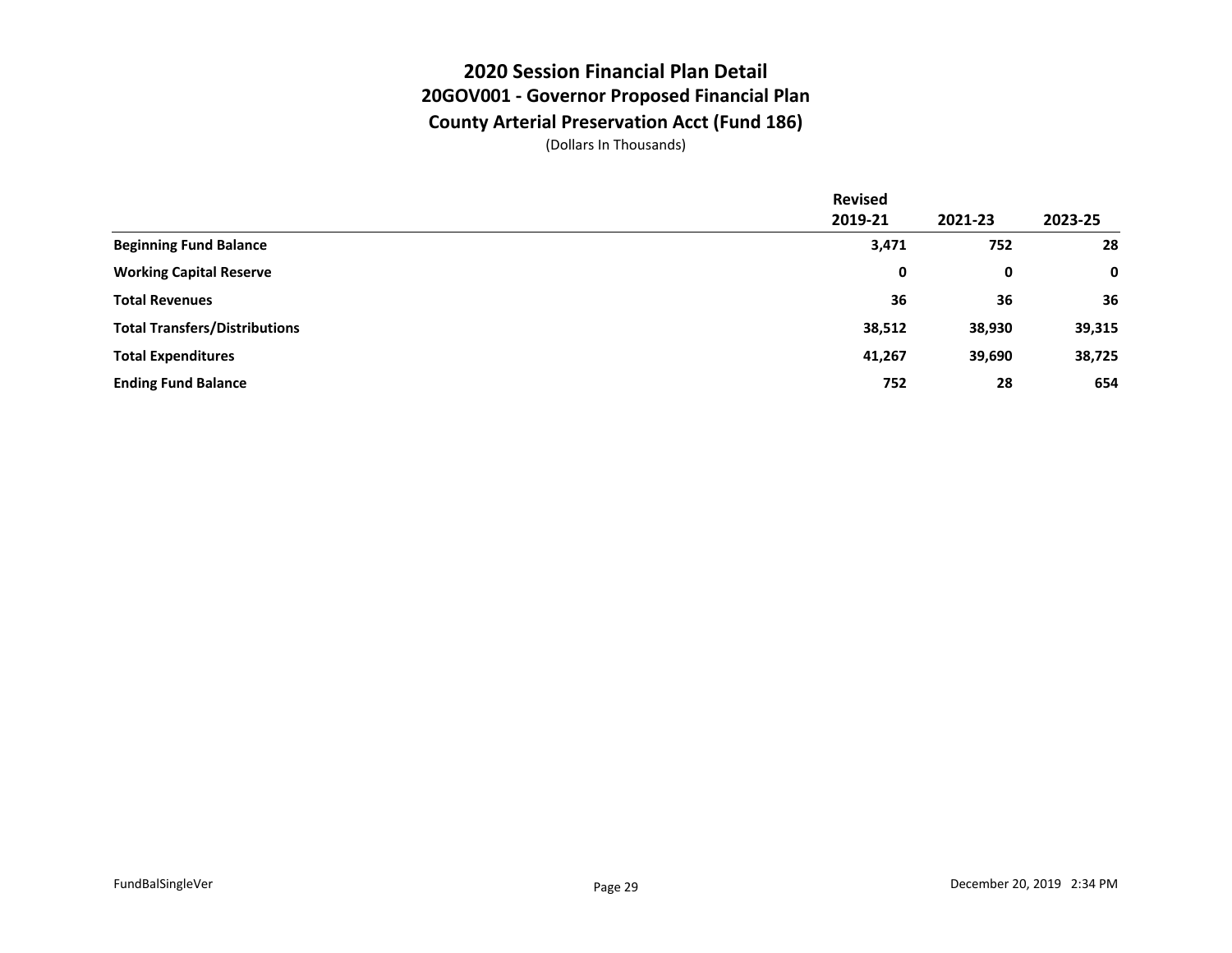## **2020 Session Financial Plan Detail 20GOV001 - Governor Proposed Financial Plan County Arterial Preservation Acct (Fund 186)**

|                                      | <b>Revised</b> |         |         |
|--------------------------------------|----------------|---------|---------|
|                                      | 2019-21        | 2021-23 | 2023-25 |
| <b>Beginning Fund Balance</b>        | 3,471          | 752     | 28      |
| <b>Working Capital Reserve</b>       | 0              | 0       | 0       |
| <b>Total Revenues</b>                | 36             | 36      | 36      |
| <b>Total Transfers/Distributions</b> | 38,512         | 38,930  | 39,315  |
| <b>Total Expenditures</b>            | 41,267         | 39,690  | 38,725  |
| <b>Ending Fund Balance</b>           | 752            | 28      | 654     |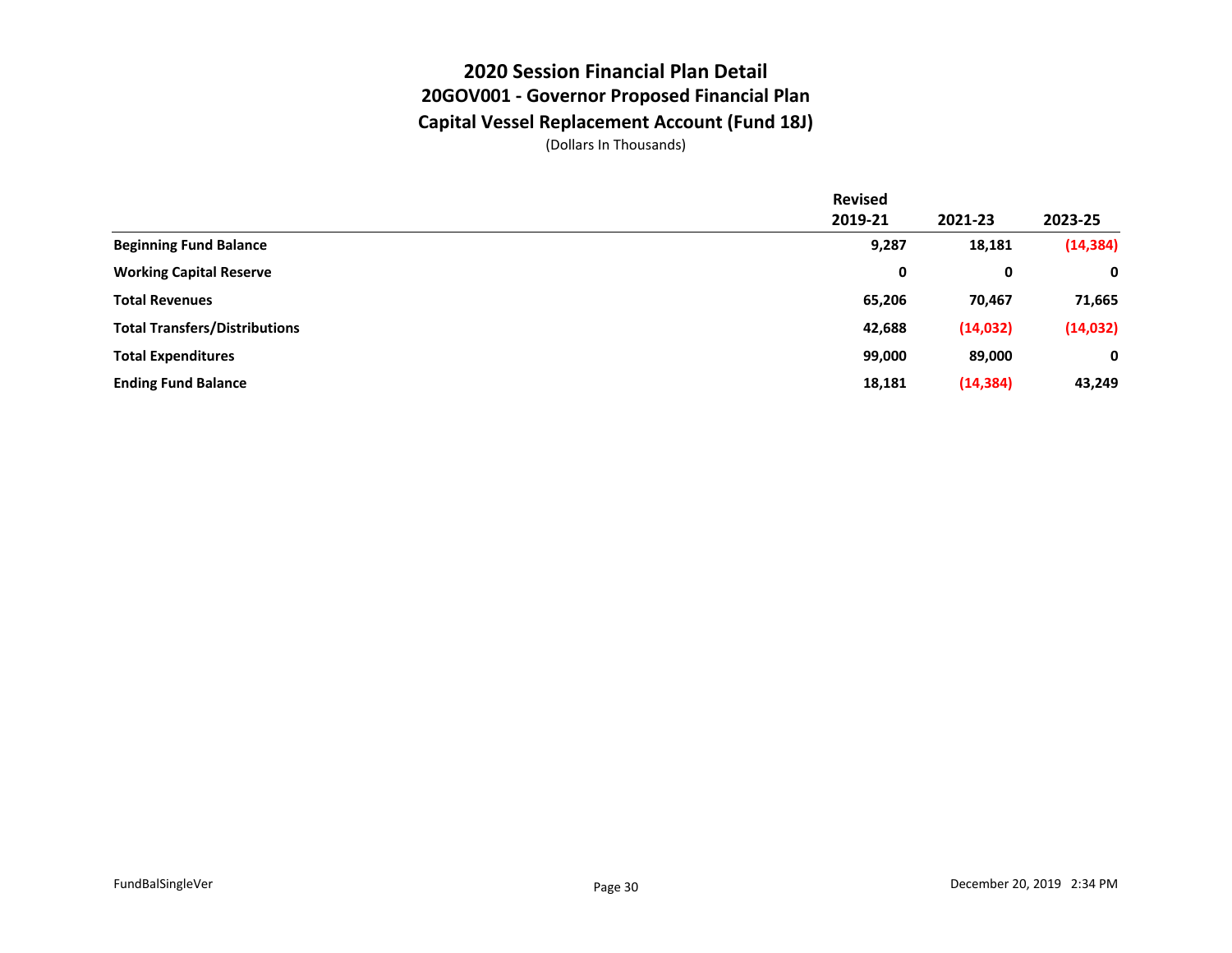#### **2020 Session Financial Plan Detail 20GOV001 - Governor Proposed Financial Plan Capital Vessel Replacement Account (Fund 18J)**

|                                      | <b>Revised</b> |           |             |
|--------------------------------------|----------------|-----------|-------------|
|                                      | 2019-21        | 2021-23   | 2023-25     |
| <b>Beginning Fund Balance</b>        | 9,287          | 18,181    | (14, 384)   |
| <b>Working Capital Reserve</b>       | 0              | 0         | $\mathbf 0$ |
| <b>Total Revenues</b>                | 65,206         | 70,467    | 71,665      |
| <b>Total Transfers/Distributions</b> | 42,688         | (14, 032) | (14, 032)   |
| <b>Total Expenditures</b>            | 99,000         | 89,000    | $\mathbf 0$ |
| <b>Ending Fund Balance</b>           | 18,181         | (14, 384) | 43,249      |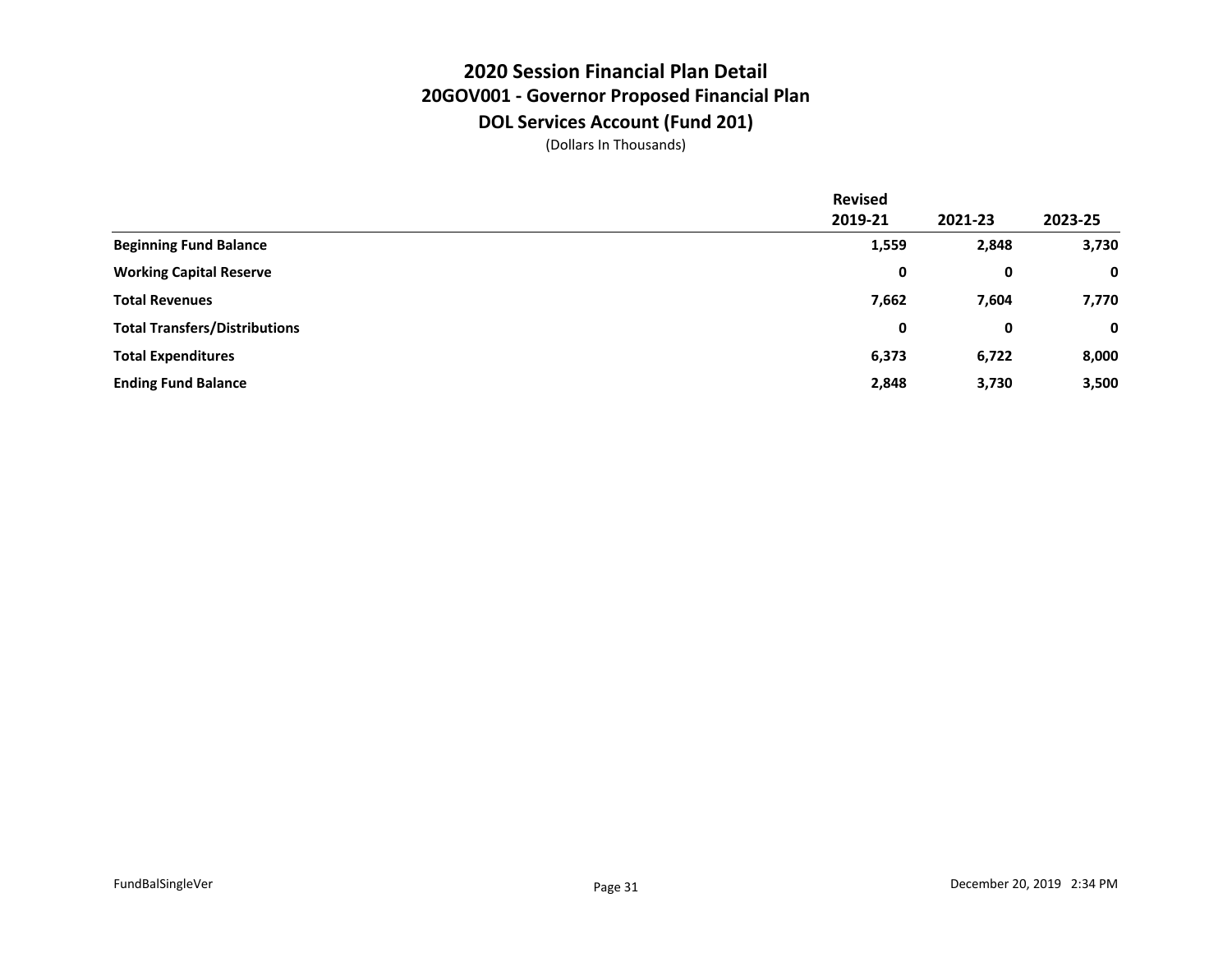### **2020 Session Financial Plan Detail 20GOV001 - Governor Proposed Financial Plan DOL Services Account (Fund 201)**

|                                      | <b>Revised</b> |         |             |
|--------------------------------------|----------------|---------|-------------|
|                                      | 2019-21        | 2021-23 | 2023-25     |
| <b>Beginning Fund Balance</b>        | 1,559          | 2,848   | 3,730       |
| <b>Working Capital Reserve</b>       | 0              | 0       | $\mathbf 0$ |
| <b>Total Revenues</b>                | 7,662          | 7,604   | 7,770       |
| <b>Total Transfers/Distributions</b> | 0              | 0       | $\mathbf 0$ |
| <b>Total Expenditures</b>            | 6,373          | 6,722   | 8,000       |
| <b>Ending Fund Balance</b>           | 2,848          | 3,730   | 3,500       |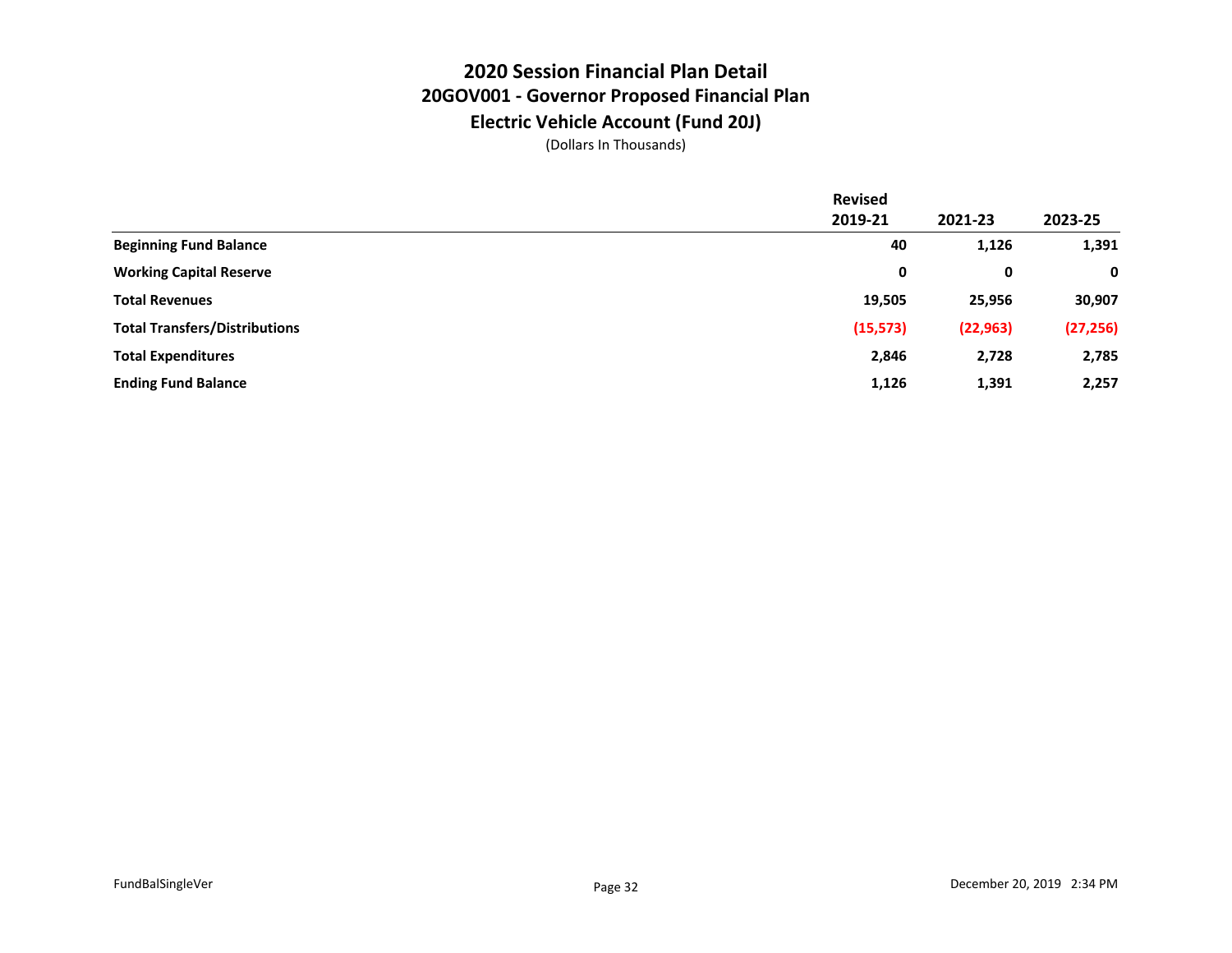## **2020 Session Financial Plan Detail 20GOV001 - Governor Proposed Financial Plan Electric Vehicle Account (Fund 20J)**

|                                      | <b>Revised</b> |           |           |
|--------------------------------------|----------------|-----------|-----------|
|                                      | 2019-21        | 2021-23   | 2023-25   |
| <b>Beginning Fund Balance</b>        | 40             | 1,126     | 1,391     |
| <b>Working Capital Reserve</b>       | 0              | 0         | 0         |
| <b>Total Revenues</b>                | 19,505         | 25,956    | 30,907    |
| <b>Total Transfers/Distributions</b> | (15, 573)      | (22, 963) | (27, 256) |
| <b>Total Expenditures</b>            | 2,846          | 2,728     | 2,785     |
| <b>Ending Fund Balance</b>           | 1,126          | 1,391     | 2,257     |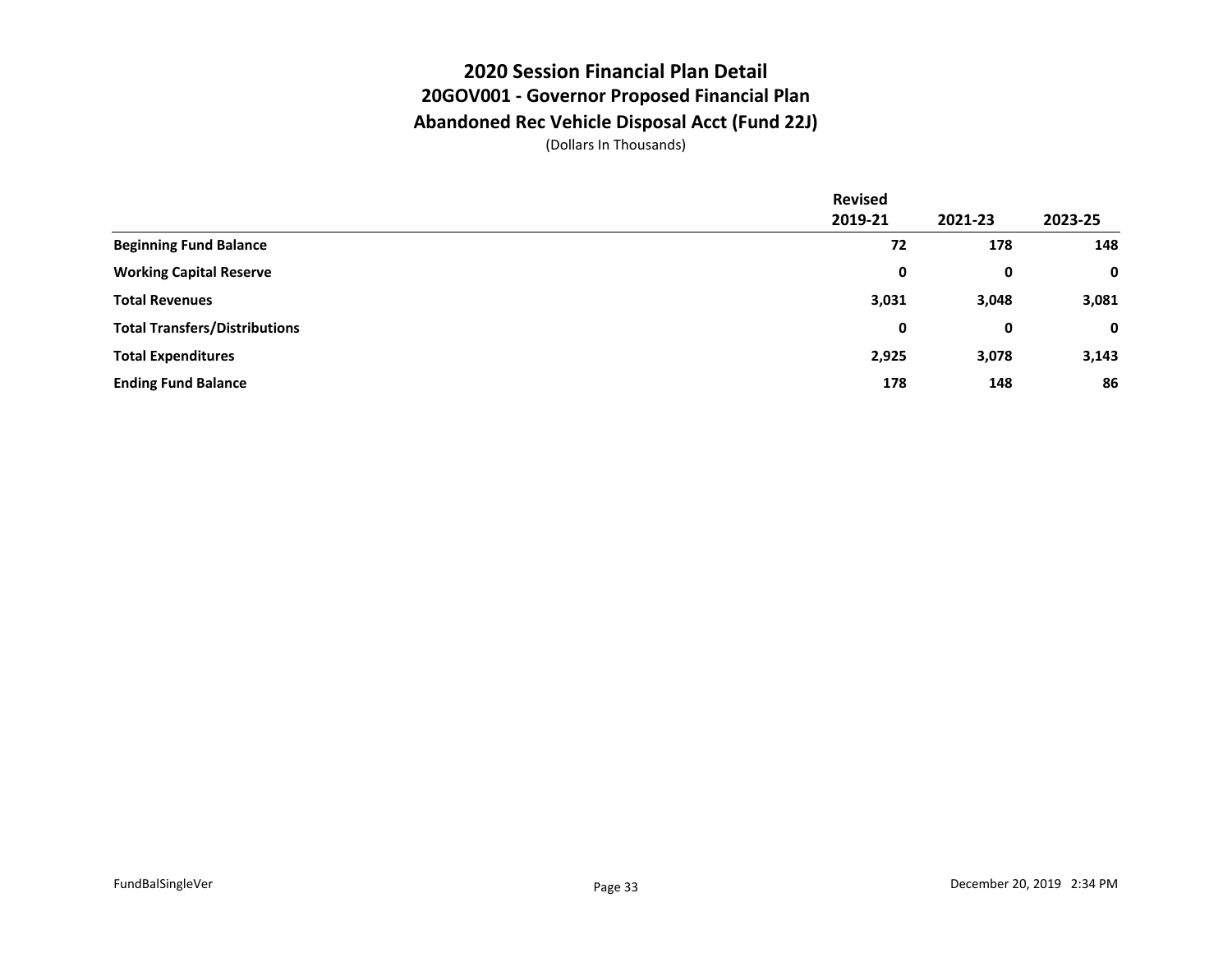#### **2020 Session Financial Plan Detail 20GOV001 - Governor Proposed Financial Plan Abandoned Rec Vehicle Disposal Acct (Fund 22J)**

|                                      | <b>Revised</b> |         |         |
|--------------------------------------|----------------|---------|---------|
|                                      | 2019-21        | 2021-23 | 2023-25 |
| <b>Beginning Fund Balance</b>        | 72             | 178     | 148     |
| <b>Working Capital Reserve</b>       | 0              | 0       | 0       |
| <b>Total Revenues</b>                | 3,031          | 3,048   | 3,081   |
| <b>Total Transfers/Distributions</b> | 0              | 0       | 0       |
| <b>Total Expenditures</b>            | 2,925          | 3,078   | 3,143   |
| <b>Ending Fund Balance</b>           | 178            | 148     | 86      |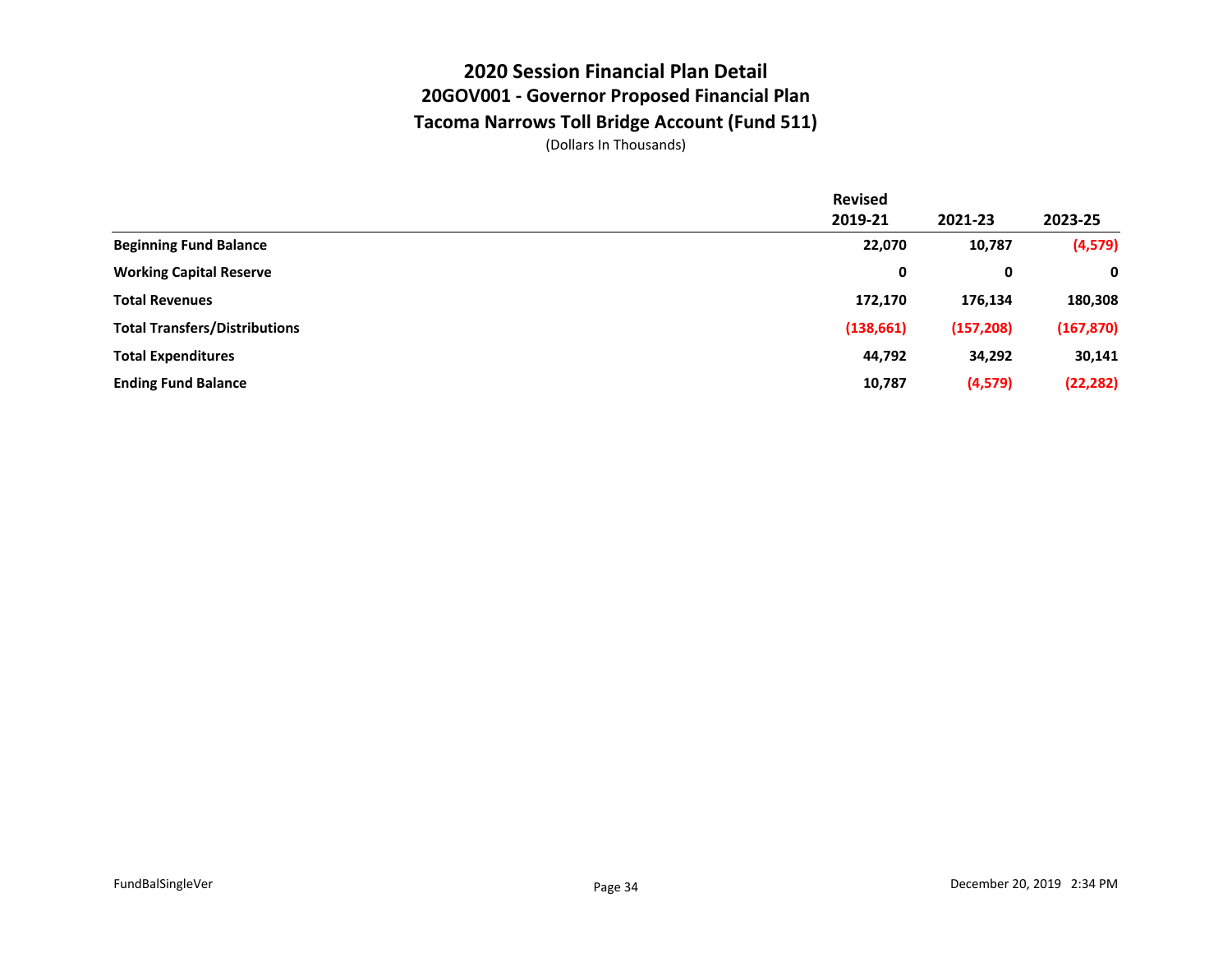## **2020 Session Financial Plan Detail 20GOV001 - Governor Proposed Financial Plan Tacoma Narrows Toll Bridge Account (Fund 511)**

|                                      | <b>Revised</b> |            |            |
|--------------------------------------|----------------|------------|------------|
|                                      | 2019-21        | 2021-23    | 2023-25    |
| <b>Beginning Fund Balance</b>        | 22,070         | 10,787     | (4, 579)   |
| <b>Working Capital Reserve</b>       | 0              | 0          | 0          |
| <b>Total Revenues</b>                | 172,170        | 176,134    | 180,308    |
| <b>Total Transfers/Distributions</b> | (138, 661)     | (157, 208) | (167, 870) |
| <b>Total Expenditures</b>            | 44,792         | 34,292     | 30,141     |
| <b>Ending Fund Balance</b>           | 10,787         | (4,579)    | (22, 282)  |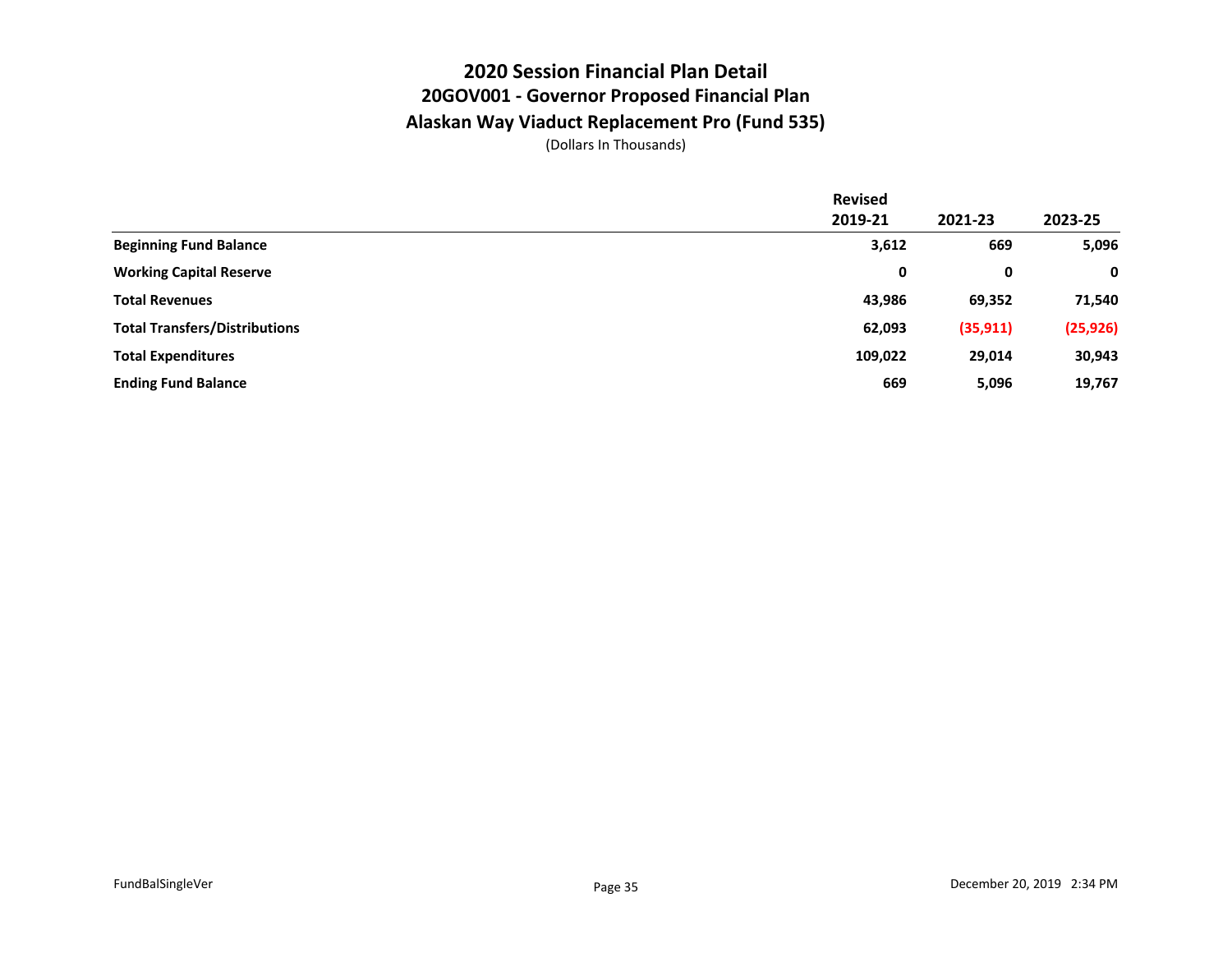## **2020 Session Financial Plan Detail 20GOV001 - Governor Proposed Financial Plan Alaskan Way Viaduct Replacement Pro (Fund 535)**

|                                      | <b>Revised</b> |           |           |
|--------------------------------------|----------------|-----------|-----------|
|                                      | 2019-21        | 2021-23   | 2023-25   |
| <b>Beginning Fund Balance</b>        | 3,612          | 669       | 5,096     |
| <b>Working Capital Reserve</b>       | 0              | 0         | 0         |
| <b>Total Revenues</b>                | 43,986         | 69,352    | 71,540    |
| <b>Total Transfers/Distributions</b> | 62,093         | (35, 911) | (25, 926) |
| <b>Total Expenditures</b>            | 109,022        | 29,014    | 30,943    |
| <b>Ending Fund Balance</b>           | 669            | 5,096     | 19,767    |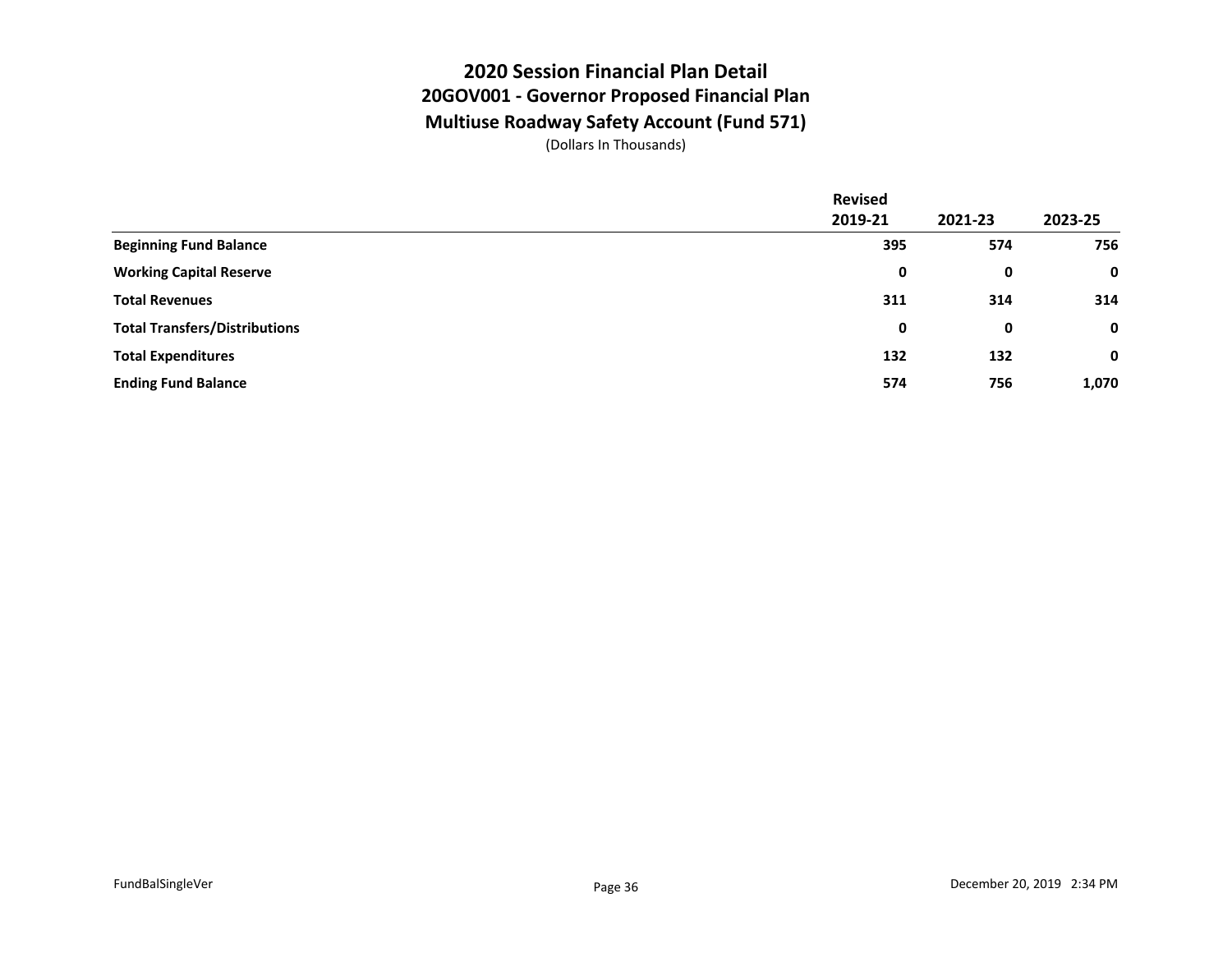#### **2020 Session Financial Plan Detail 20GOV001 - Governor Proposed Financial Plan Multiuse Roadway Safety Account (Fund 571)**

|                                      | <b>Revised</b> |         |             |
|--------------------------------------|----------------|---------|-------------|
|                                      | 2019-21        | 2021-23 | 2023-25     |
| <b>Beginning Fund Balance</b>        | 395            | 574     | 756         |
| <b>Working Capital Reserve</b>       | 0              | 0       | $\mathbf 0$ |
| <b>Total Revenues</b>                | 311            | 314     | 314         |
| <b>Total Transfers/Distributions</b> | 0              | 0       | $\mathbf 0$ |
| <b>Total Expenditures</b>            | 132            | 132     | $\mathbf 0$ |
| <b>Ending Fund Balance</b>           | 574            | 756     | 1,070       |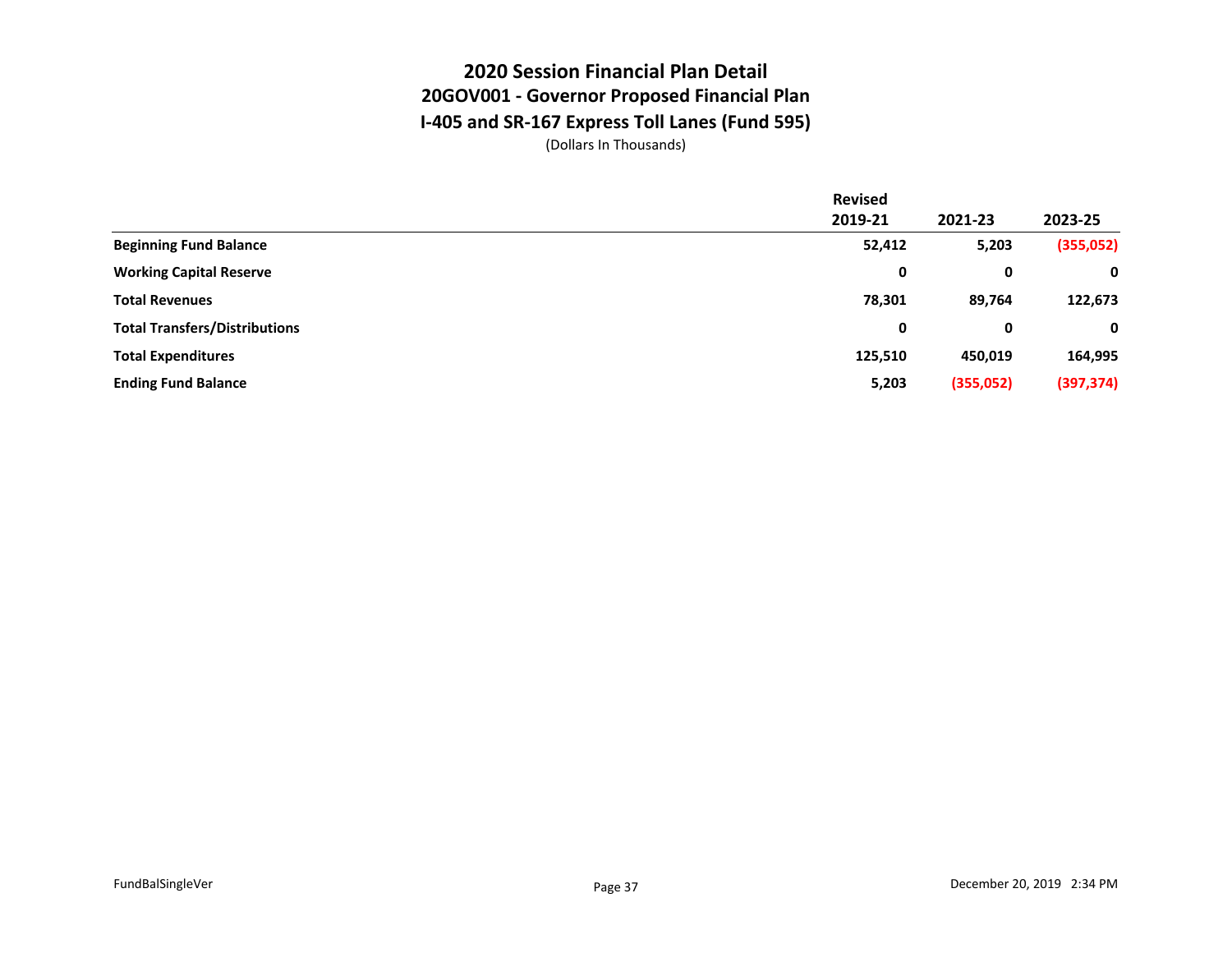## **2020 Session Financial Plan Detail 20GOV001 - Governor Proposed Financial Plan I-405 and SR-167 Express Toll Lanes (Fund 595)**

|                                      | <b>Revised</b> |           |            |
|--------------------------------------|----------------|-----------|------------|
|                                      | 2019-21        | 2021-23   | 2023-25    |
| <b>Beginning Fund Balance</b>        | 52,412         | 5,203     | (355,052)  |
| <b>Working Capital Reserve</b>       | 0              | 0         | 0          |
| <b>Total Revenues</b>                | 78,301         | 89,764    | 122,673    |
| <b>Total Transfers/Distributions</b> | 0              | 0         | 0          |
| <b>Total Expenditures</b>            | 125,510        | 450,019   | 164,995    |
| <b>Ending Fund Balance</b>           | 5,203          | (355,052) | (397, 374) |